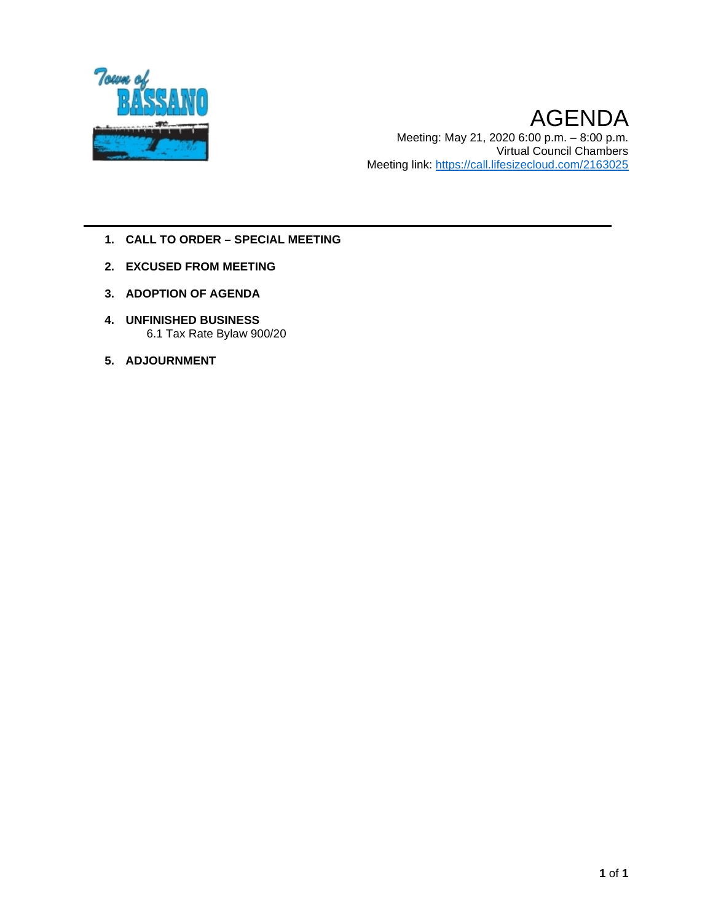

- **1. CALL TO ORDER – SPECIAL MEETING**
- **2. EXCUSED FROM MEETING**
- **3. ADOPTION OF AGENDA**
- **4. UNFINISHED BUSINESS** 6.1 Tax Rate Bylaw 900/20
- **5. ADJOURNMENT**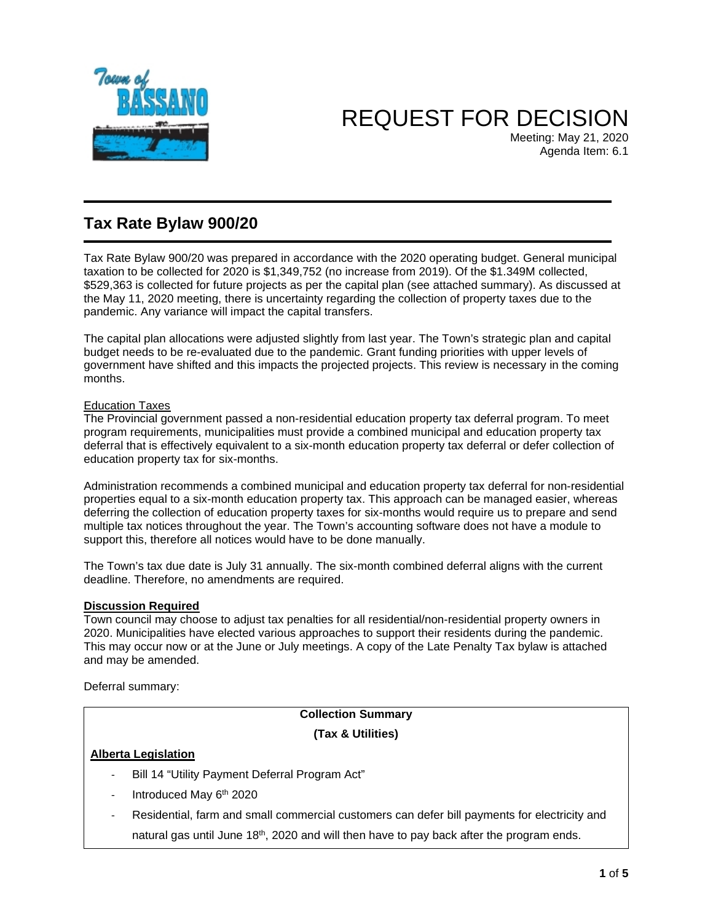

# REQUEST FOR DECISION

Meeting: May 21, 2020 Agenda Item: 6.1

# **Tax Rate Bylaw 900/20**

Tax Rate Bylaw 900/20 was prepared in accordance with the 2020 operating budget. General municipal taxation to be collected for 2020 is \$1,349,752 (no increase from 2019). Of the \$1.349M collected, \$529,363 is collected for future projects as per the capital plan (see attached summary). As discussed at the May 11, 2020 meeting, there is uncertainty regarding the collection of property taxes due to the pandemic. Any variance will impact the capital transfers.

The capital plan allocations were adjusted slightly from last year. The Town's strategic plan and capital budget needs to be re-evaluated due to the pandemic. Grant funding priorities with upper levels of government have shifted and this impacts the projected projects. This review is necessary in the coming months.

### Education Taxes

The Provincial government passed a non-residential education property tax deferral program. To meet program requirements, municipalities must provide a combined municipal and education property tax deferral that is effectively equivalent to a six-month education property tax deferral or defer collection of education property tax for six-months.

Administration recommends a combined municipal and education property tax deferral for non-residential properties equal to a six-month education property tax. This approach can be managed easier, whereas deferring the collection of education property taxes for six-months would require us to prepare and send multiple tax notices throughout the year. The Town's accounting software does not have a module to support this, therefore all notices would have to be done manually.

The Town's tax due date is July 31 annually. The six-month combined deferral aligns with the current deadline. Therefore, no amendments are required.

### **Discussion Required**

Town council may choose to adjust tax penalties for all residential/non-residential property owners in 2020. Municipalities have elected various approaches to support their residents during the pandemic. This may occur now or at the June or July meetings. A copy of the Late Penalty Tax bylaw is attached and may be amended.

Deferral summary:

## **Collection Summary (Tax & Utilities)**

### **Alberta Legislation**

- Bill 14 "Utility Payment Deferral Program Act"
- Introduced May 6<sup>th</sup> 2020
- Residential, farm and small commercial customers can defer bill payments for electricity and natural gas until June  $18<sup>th</sup>$ , 2020 and will then have to pay back after the program ends.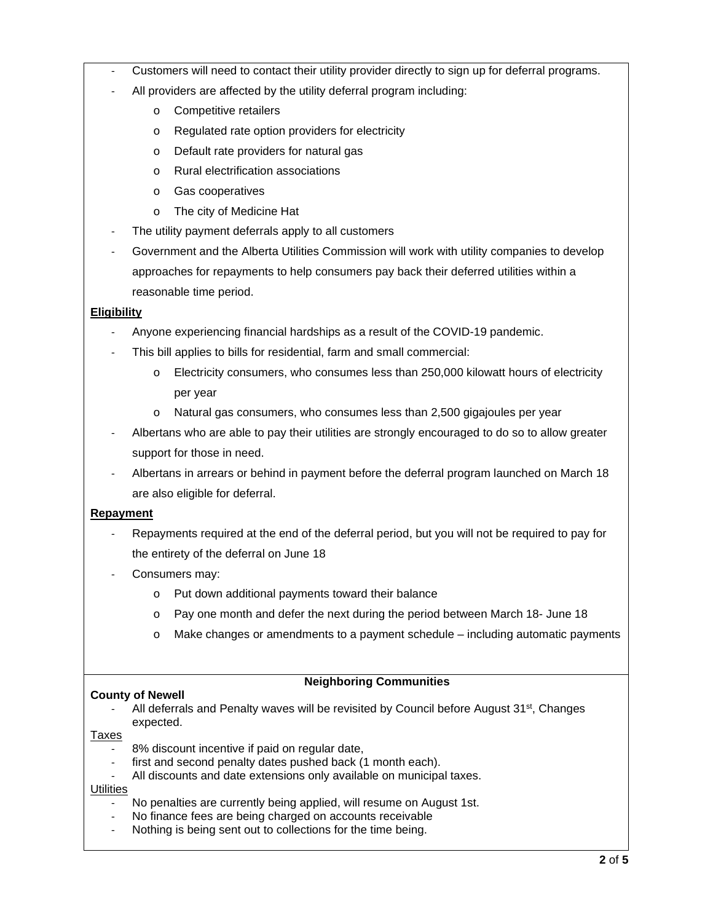- Customers will need to contact their utility provider directly to sign up for deferral programs.
- All providers are affected by the utility deferral program including:
	- o Competitive retailers
	- o Regulated rate option providers for electricity
	- o Default rate providers for natural gas
	- o Rural electrification associations
	- o Gas cooperatives
	- o The city of Medicine Hat
- The utility payment deferrals apply to all customers
- Government and the Alberta Utilities Commission will work with utility companies to develop approaches for repayments to help consumers pay back their deferred utilities within a reasonable time period.

### **Eligibility**

- Anyone experiencing financial hardships as a result of the COVID-19 pandemic.
- This bill applies to bills for residential, farm and small commercial:
	- o Electricity consumers, who consumes less than 250,000 kilowatt hours of electricity per year
	- o Natural gas consumers, who consumes less than 2,500 gigajoules per year
- Albertans who are able to pay their utilities are strongly encouraged to do so to allow greater support for those in need.
- Albertans in arrears or behind in payment before the deferral program launched on March 18 are also eligible for deferral.

### **Repayment**

- Repayments required at the end of the deferral period, but you will not be required to pay for the entirety of the deferral on June 18
- Consumers may:
	- o Put down additional payments toward their balance
	- o Pay one month and defer the next during the period between March 18- June 18
	- o Make changes or amendments to a payment schedule including automatic payments

### **Neighboring Communities**

- **County of Newell** 
	- All deferrals and Penalty waves will be revisited by Council before August  $31^{st}$ , Changes expected.

#### Taxes

- 8% discount incentive if paid on regular date,
- first and second penalty dates pushed back (1 month each).
- All discounts and date extensions only available on municipal taxes.

### **Utilities**

- No penalties are currently being applied, will resume on August 1st.
- No finance fees are being charged on accounts receivable
- Nothing is being sent out to collections for the time being.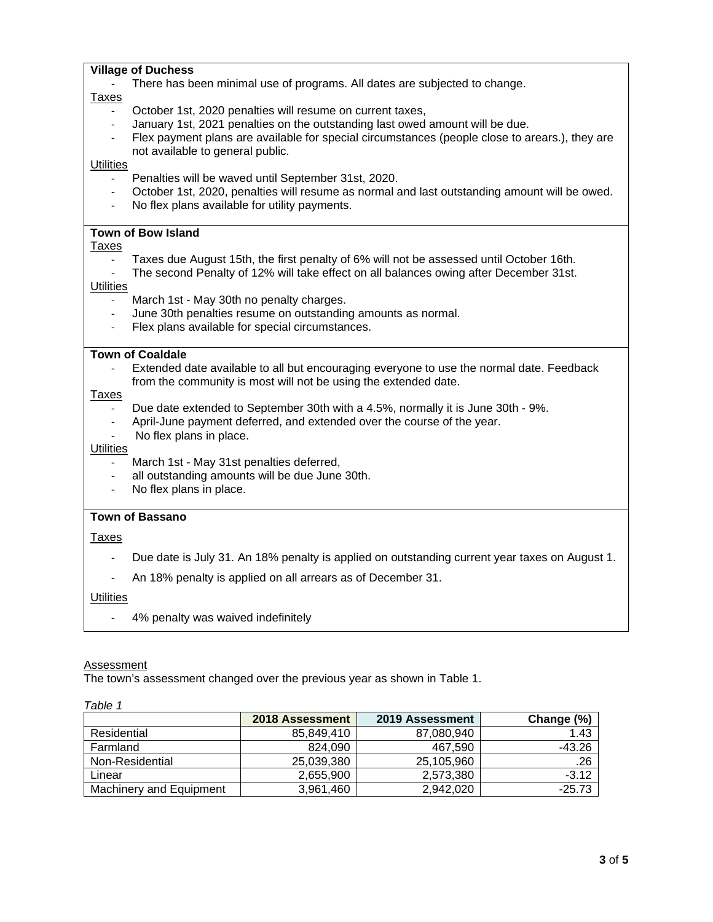#### **Village of Duchess**

There has been minimal use of programs. All dates are subjected to change.

#### Taxes

- October 1st, 2020 penalties will resume on current taxes,
- January 1st, 2021 penalties on the outstanding last owed amount will be due.
- Flex payment plans are available for special circumstances (people close to arears.), they are not available to general public.

#### **Utilities**

- Penalties will be waved until September 31st, 2020.
- October 1st, 2020, penalties will resume as normal and last outstanding amount will be owed.
- No flex plans available for utility payments.

### **Town of Bow Island**

#### Taxes

- Taxes due August 15th, the first penalty of 6% will not be assessed until October 16th.
- The second Penalty of 12% will take effect on all balances owing after December 31st.

#### **Utilities**

- March 1st May 30th no penalty charges.
- June 30th penalties resume on outstanding amounts as normal.
- Flex plans available for special circumstances.

#### **Town of Coaldale**

Extended date available to all but encouraging everyone to use the normal date. Feedback from the community is most will not be using the extended date.

#### Taxes

- Due date extended to September 30th with a 4.5%, normally it is June 30th 9%.
- April-June payment deferred, and extended over the course of the year.
- No flex plans in place.

#### **Utilities**

- March 1st May 31st penalties deferred,
- all outstanding amounts will be due June 30th.
- No flex plans in place.

#### **Town of Bassano**

#### Taxes

- Due date is July 31. An 18% penalty is applied on outstanding current year taxes on August 1.
- An 18% penalty is applied on all arrears as of December 31.

#### **Utilities**

4% penalty was waived indefinitely

#### **Assessment**

The town's assessment changed over the previous year as shown in Table 1.

|--|

|                                | 2018 Assessment | <b>2019 Assessment</b> | Change (%) |
|--------------------------------|-----------------|------------------------|------------|
| Residential                    | 85.849.410      | 87,080,940             | 1.43       |
| Farmland                       | 824.090         | 467.590                | -43.26     |
| Non-Residential                | 25,039,380      | 25,105,960             | .26        |
| Linear                         | 2,655,900       | 2,573,380              | $-3.12$    |
| <b>Machinery and Equipment</b> | 3.961.460       | 2.942.020              | -25.73     |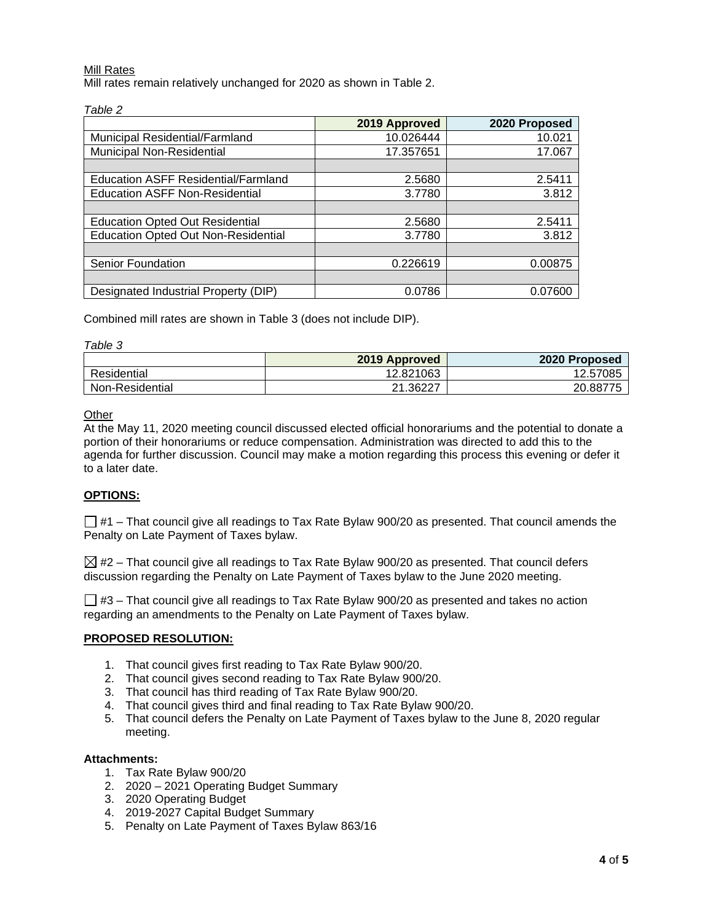#### Mill Rates

Mill rates remain relatively unchanged for 2020 as shown in Table 2.

|                                            | 2019 Approved | 2020 Proposed |
|--------------------------------------------|---------------|---------------|
| Municipal Residential/Farmland             | 10.026444     | 10.021        |
| Municipal Non-Residential                  | 17.357651     | 17.067        |
|                                            |               |               |
| <b>Education ASFF Residential/Farmland</b> | 2.5680        | 2.5411        |
| <b>Education ASFF Non-Residential</b>      | 3.7780        | 3.812         |
|                                            |               |               |
| <b>Education Opted Out Residential</b>     | 2.5680        | 2.5411        |
| <b>Education Opted Out Non-Residential</b> | 3.7780        | 3.812         |
|                                            |               |               |
| Senior Foundation                          | 0.226619      | 0.00875       |
|                                            |               |               |
| Designated Industrial Property (DIP)       | 0.0786        | 0.07600       |

Combined mill rates are shown in Table 3 (does not include DIP).

|--|

|                 | 2019 Approved  | 2020 Proposed |
|-----------------|----------------|---------------|
| Residential     | 12.821063      | 12.57085      |
| Non-Residential | 36227.<br>ົາ 1 | 20.88775      |

#### **Other**

At the May 11, 2020 meeting council discussed elected official honorariums and the potential to donate a portion of their honorariums or reduce compensation. Administration was directed to add this to the agenda for further discussion. Council may make a motion regarding this process this evening or defer it to a later date.

#### **OPTIONS:**

 $\Box$  #1 – That council give all readings to Tax Rate Bylaw 900/20 as presented. That council amends the Penalty on Late Payment of Taxes bylaw.

 $\boxtimes$  #2 – That council give all readings to Tax Rate Bylaw 900/20 as presented. That council defers discussion regarding the Penalty on Late Payment of Taxes bylaw to the June 2020 meeting.

 $\Box$  #3 – That council give all readings to Tax Rate Bylaw 900/20 as presented and takes no action regarding an amendments to the Penalty on Late Payment of Taxes bylaw.

#### **PROPOSED RESOLUTION:**

- 1. That council gives first reading to Tax Rate Bylaw 900/20.
- 2. That council gives second reading to Tax Rate Bylaw 900/20.
- 3. That council has third reading of Tax Rate Bylaw 900/20.
- 4. That council gives third and final reading to Tax Rate Bylaw 900/20.
- 5. That council defers the Penalty on Late Payment of Taxes bylaw to the June 8, 2020 regular meeting.

#### **Attachments:**

- 1. Tax Rate Bylaw 900/20
- 2. 2020 2021 Operating Budget Summary
- 3. 2020 Operating Budget
- 4. 2019-2027 Capital Budget Summary
- 5. Penalty on Late Payment of Taxes Bylaw 863/16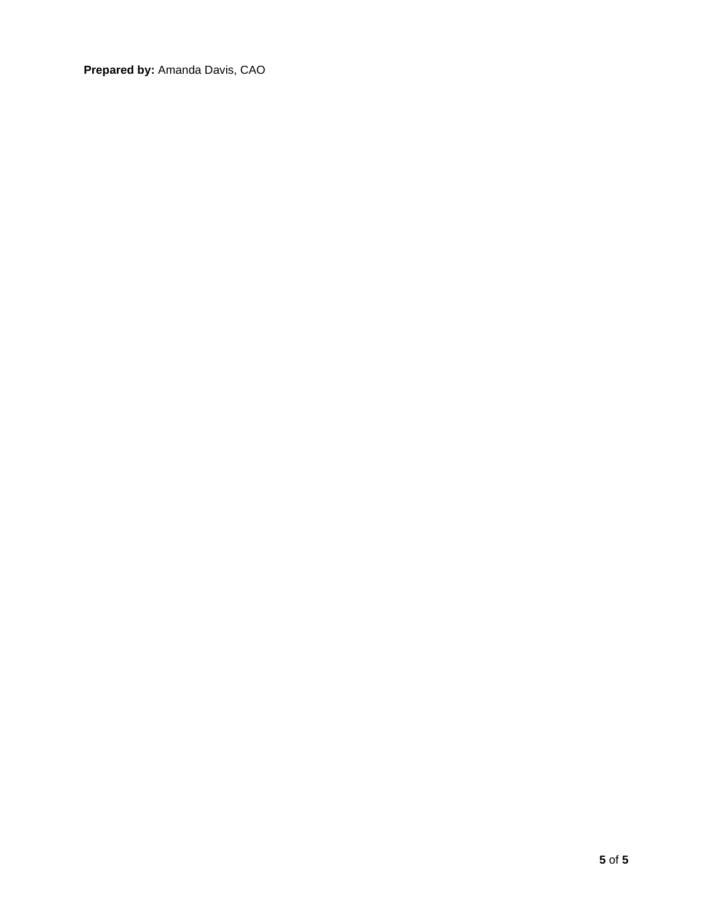**Prepared by:** Amanda Davis, CAO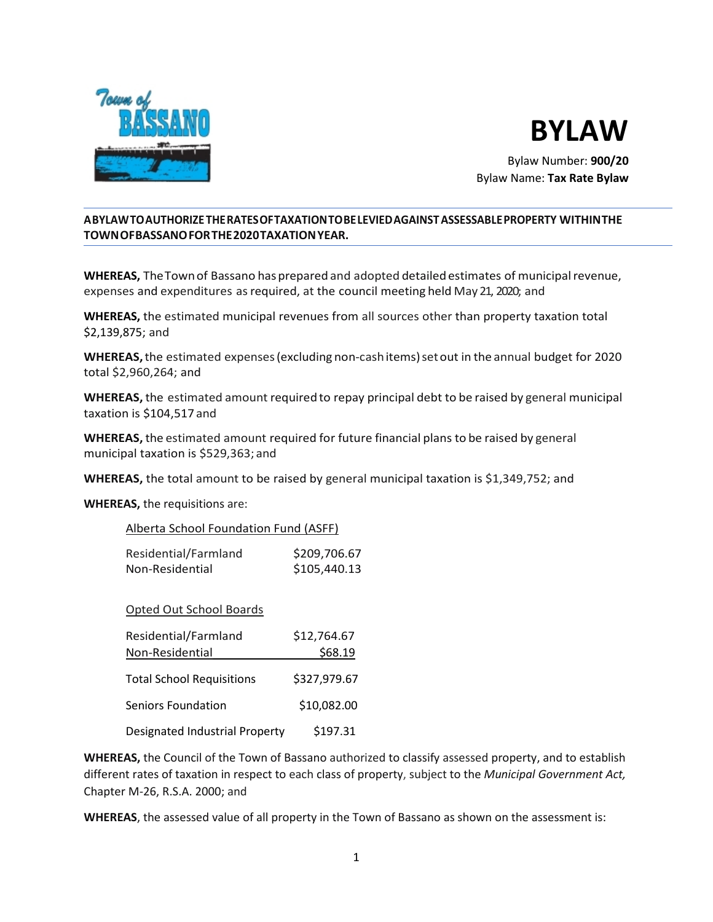



Bylaw Number: **900/20** Bylaw Name: **Tax Rate Bylaw**

### **ABYLAWTOAUTHORIZETHERATESOFTAXATIONTOBELEVIEDAGAINSTASSESSABLEPROPERTY WITHINTHE TOWNOFBASSANOFORTHE2020TAXATIONYEAR.**

**WHEREAS,** TheTownof Bassano hasprepared and adopted detailedestimates of municipalrevenue, expenses and expenditures asrequired, at the council meeting held May 21, 2020; and

**WHEREAS,** the estimated municipal revenues from all sources other than property taxation total \$2,139,875; and

**WHEREAS,**the estimated expenses(excluding non-cashitems)setout in the annual budget for 2020 total \$2,960,264; and

**WHEREAS,** the estimated amount required to repay principal debt to be raised by general municipal taxation is \$104,517 and

**WHEREAS,** the estimated amount required for future financial plans to be raised by general municipal taxation is \$529,363; and

**WHEREAS,** the total amount to be raised by general municipal taxation is \$1,349,752; and

**WHEREAS,** the requisitions are:

| Alberta School Foundation Fund (ASFF) |              |
|---------------------------------------|--------------|
| Residential/Farmland                  | \$209,706.67 |

Non-Residential \$105,440.13

|  | <b>Opted Out School Boards</b> |  |
|--|--------------------------------|--|

| Residential/Farmland<br>Non-Residential | \$12,764.67<br>\$68.19 |
|-----------------------------------------|------------------------|
| <b>Total School Requisitions</b>        | \$327,979.67           |
| Seniors Foundation                      | \$10,082.00            |
| Designated Industrial Property          | \$197.31               |

**WHEREAS,** the Council of the Town of Bassano authorized to classify assessed property, and to establish different rates of taxation in respect to each class of property, subject to the *Municipal Government Act,*  Chapter M-26, R.S.A. 2000; and

**WHEREAS**, the assessed value of all property in the Town of Bassano as shown on the assessment is: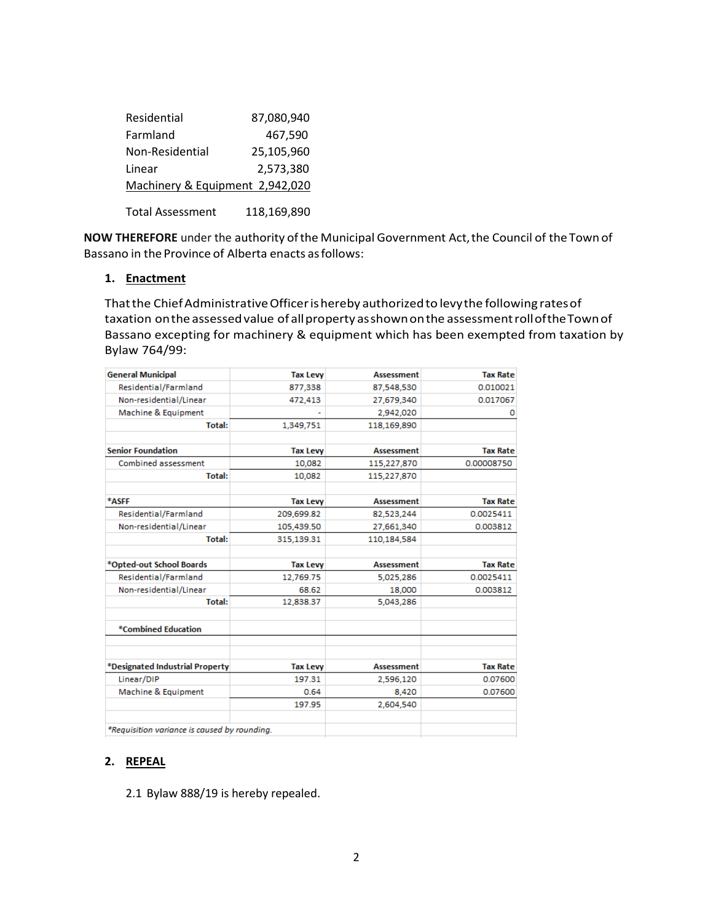| Residential                     | 87,080,940  |
|---------------------------------|-------------|
| Farmland                        | 467,590     |
| Non-Residential                 | 25,105,960  |
| Linear                          | 2,573,380   |
| Machinery & Equipment 2,942,020 |             |
| <b>Total Assessment</b>         | 118,169,890 |

NOW THEREFORE under the authority of the Municipal Government Act, the Council of the Town of Bassano in the Province of Alberta enacts as follows:

#### **1. Enactment**

That the Chief Administrative Officer is hereby authorized to levy the following rates of taxation onthe assessedvalue of allproperty asshownonthe assessmentrolloftheTownof Bassano excepting for machinery & equipment which has been exempted from taxation by Bylaw 764/99:

| <b>General Municipal</b>                     | <b>Tax Levy</b> | <b>Assessment</b> | <b>Tax Rate</b> |
|----------------------------------------------|-----------------|-------------------|-----------------|
| Residential/Farmland                         | 877,338         | 87,548,530        | 0.010021        |
| Non-residential/Linear                       | 472,413         | 27,679,340        | 0.017067        |
| Machine & Equipment                          |                 | 2,942,020         | 0               |
| <b>Total:</b>                                | 1,349,751       | 118,169,890       |                 |
| <b>Senior Foundation</b>                     | <b>Tax Levy</b> | <b>Assessment</b> | <b>Tax Rate</b> |
| Combined assessment                          | 10.082          | 115,227,870       | 0.00008750      |
| <b>Total:</b>                                | 10,082          | 115,227,870       |                 |
| *ASFF                                        | <b>Tax Levy</b> | <b>Assessment</b> | <b>Tax Rate</b> |
| Residential/Farmland                         | 209,699.82      | 82,523,244        | 0.0025411       |
| Non-residential/Linear                       | 105.439.50      | 27,661,340        | 0.003812        |
| <b>Total:</b>                                | 315,139.31      | 110.184.584       |                 |
| *Opted-out School Boards                     | <b>Tax Levy</b> | <b>Assessment</b> | <b>Tax Rate</b> |
| Residential/Farmland                         | 12.769.75       | 5,025,286         | 0.0025411       |
| Non-residential/Linear                       | 68.62           | 18,000            | 0.003812        |
| <b>Total:</b>                                | 12,838.37       | 5,043,286         |                 |
| *Combined Education                          |                 |                   |                 |
|                                              |                 |                   |                 |
| *Designated Industrial Property              | <b>Tax Levy</b> | <b>Assessment</b> | <b>Tax Rate</b> |
| Linear/DIP                                   | 197.31          | 2,596,120         | 0.07600         |
| Machine & Equipment                          | 0.64            | 8,420             | 0.07600         |
|                                              | 197.95          | 2,604,540         |                 |
| *Requisition variance is caused by rounding. |                 |                   |                 |

### **2. REPEAL**

2.1 Bylaw 888/19 is hereby repealed.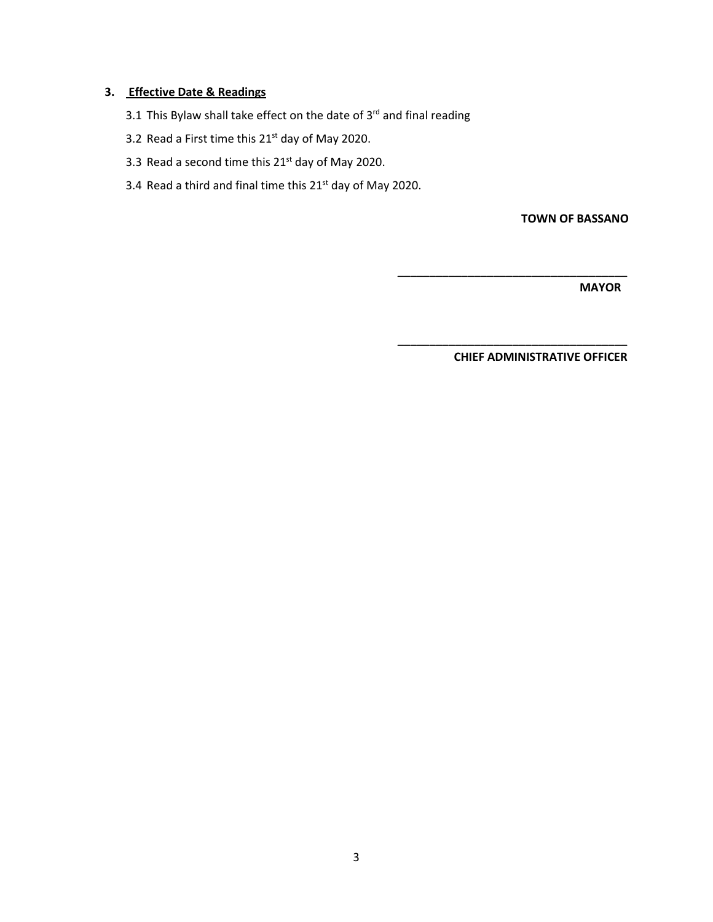## **3. Effective Date & Readings**

- 3.1 This Bylaw shall take effect on the date of  $3^{rd}$  and final reading
- 3.2 Read a First time this  $21^{st}$  day of May 2020.
- 3.3 Read a second time this  $21^{st}$  day of May 2020.
- 3.4 Read a third and final time this  $21<sup>st</sup>$  day of May 2020.

**TOWN OF BASSANO**

 **MAYOR**

 **CHIEF ADMINISTRATIVE OFFICER**

 **\_\_\_\_\_\_\_\_\_\_\_\_\_\_\_\_\_\_\_\_\_\_\_\_\_\_\_\_\_\_\_\_\_\_\_\_**

 **\_\_\_\_\_\_\_\_\_\_\_\_\_\_\_\_\_\_\_\_\_\_\_\_\_\_\_\_\_\_\_\_\_\_\_\_**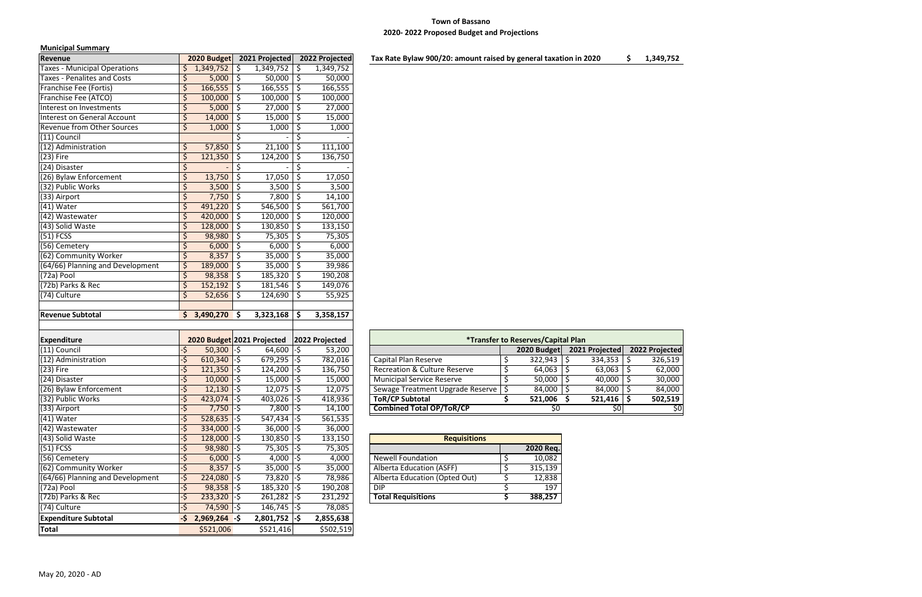# **Town of Bassano 2020- 2022 Proposed Budget and Projections**

### **Municipal Summary**

| iviuiiiuipui Juliiiiiui 1                   |                  |                               |     |                                  |                    |                     |                                                                  |    |                                                  |                              |  |
|---------------------------------------------|------------------|-------------------------------|-----|----------------------------------|--------------------|---------------------|------------------------------------------------------------------|----|--------------------------------------------------|------------------------------|--|
| Revenue                                     |                  | 2020 Budget                   |     | 2021 Projected                   |                    | 2022 Projected      | Tax Rate Bylaw 900/20: amount raised by general taxation in 2020 |    |                                                  |                              |  |
| <b>Taxes - Municipal Operations</b>         |                  | 1,349,752                     |     | 1,349,752                        | \$                 | 1,349,752           |                                                                  |    |                                                  |                              |  |
| Taxes - Penalites and Costs                 |                  | 5,000                         | \$. | $50,000$   \$                    |                    | 50,000              |                                                                  |    |                                                  |                              |  |
| Franchise Fee (Fortis)                      | \$               | $166,555$ \$                  |     | 166,555                          | $\ddot{\varsigma}$ | 166,555             |                                                                  |    |                                                  |                              |  |
| Franchise Fee (ATCO)                        | \$               | 100,000                       | \$  | 100,000                          | \$                 | 100,000             |                                                                  |    |                                                  |                              |  |
| Interest on Investments                     |                  | $5,000$ \$                    |     | $27,000$ \$                      |                    | 27,000              |                                                                  |    |                                                  |                              |  |
| Interest on General Account                 |                  | $14,000$ \$                   |     | $15,000$   \$                    |                    | 15,000              |                                                                  |    |                                                  |                              |  |
| <b>Revenue from Other Sources</b>           | Ś                | 1,000                         | \$  | 1,000                            | $\ddot{\varsigma}$ | 1,000               |                                                                  |    |                                                  |                              |  |
| $(11)$ Council                              |                  |                               |     |                                  |                    |                     |                                                                  |    |                                                  |                              |  |
| (12) Administration                         | \$               | 57,850                        |     | 21,100                           | $\ddot{\varsigma}$ | 111,100             |                                                                  |    |                                                  |                              |  |
| $(23)$ Fire                                 | \$               | 121,350                       | S   | 124,200                          | \$                 | 136,750             |                                                                  |    |                                                  |                              |  |
| (24) Disaster                               | \$               |                               | \$  |                                  | \$                 |                     |                                                                  |    |                                                  |                              |  |
| (26) Bylaw Enforcement                      | \$               | 13,750                        | Ŝ   | 17,050                           | \$                 | 17,050              |                                                                  |    |                                                  |                              |  |
| (32) Public Works                           | \$               | 3,500                         | S   | 3,500                            | -\$                | 3,500               |                                                                  |    |                                                  |                              |  |
| (33) Airport                                | $\zeta$          | $7,750$ \$                    |     | $7,800$   \$                     |                    | 14,100              |                                                                  |    |                                                  |                              |  |
| $(41)$ Water                                |                  | 491,220                       | \$  | 546,500                          | $\ddot{\phi}$      | 561,700             |                                                                  |    |                                                  |                              |  |
| (42) Wastewater                             | \$               | $420,000$ \$                  |     | $120,000$ \$                     |                    | 120,000             |                                                                  |    |                                                  |                              |  |
| (43) Solid Waste                            | \$               | $128,000$ \$                  |     | $130,850$   \$                   |                    | 133,150             |                                                                  |    |                                                  |                              |  |
| $(51)$ FCSS                                 |                  | 98,980                        | \$  | 75,305                           | \$                 | 75,305              |                                                                  |    |                                                  |                              |  |
| (56) Cemetery                               |                  | 6,000                         | S   | $6,000$ \$                       |                    | 6,000               |                                                                  |    |                                                  |                              |  |
| (62) Community Worker                       | Ś                | $8,357$ \$                    |     | 35,000                           | -\$                | 35,000              |                                                                  |    |                                                  |                              |  |
|                                             |                  |                               |     |                                  |                    |                     |                                                                  |    |                                                  |                              |  |
| (64/66) Planning and Development            | \$               | 189,000                       | \$. | 35,000                           | $\ddot{\varsigma}$ | 39,986              |                                                                  |    |                                                  |                              |  |
| (72a) Pool                                  |                  | 98,358                        | \$. | $185,320$   \$                   |                    | 190,208             |                                                                  |    |                                                  |                              |  |
| (72b) Parks & Rec                           | Ś                | 152,192                       | \$  | 181,546                          | \$                 | 149,076             |                                                                  |    |                                                  |                              |  |
| (74) Culture                                |                  | 52,656                        | S   | 124,690                          | -\$                | 55,925              |                                                                  |    |                                                  |                              |  |
| <b>Revenue Subtotal</b>                     | S.               | $3,490,270$ \$                |     | 3,323,168                        | \$                 | 3,358,157           |                                                                  |    |                                                  |                              |  |
|                                             |                  |                               |     |                                  |                    |                     |                                                                  |    |                                                  |                              |  |
|                                             |                  |                               |     |                                  |                    |                     |                                                                  |    |                                                  |                              |  |
| <b>Expenditure</b>                          |                  | 2020 Budget 2021 Projected    |     |                                  |                    | 2022 Projected      |                                                                  |    | <i><b>*Transfer to Reserves/Capital Plan</b></i> |                              |  |
| (11) Council                                |                  | $50,300$ -\$                  |     | $64,600$ -\$                     |                    | 53,200              |                                                                  |    |                                                  | 2020 Budget   2021 Projected |  |
| (12) Administration                         | ی۔               | $610,340$ -\$                 |     | $679,295$ -\$                    |                    | 782,016             | Capital Plan Reserve                                             | \$ | 322,943                                          | $334,353$ \$<br>-S           |  |
| $(23)$ Fire                                 |                  | $121,350$ -\$                 |     | $124,200$ -\$                    |                    | 136,750             | <b>Recreation &amp; Culture Reserve</b>                          |    | $64,063$ \$                                      | 63,063                       |  |
| (24) Disaster                               | -\$              | $10,000$ -\$                  |     | $15,000$ -\$                     |                    | 15,000              | <b>Municipal Service Reserve</b>                                 | \$ | $50,000$   \$                                    | $40,000$   \$                |  |
| (26) Bylaw Enforcement                      | $\epsilon$<br>-> | $12,130$ -\$                  |     | $12,075$ -\$                     |                    | 12,075              | Sewage Treatment Upgrade Reserve   \$                            |    | $84,000$ \$                                      | $84,000$ \$                  |  |
| (32) Public Works                           | -\$              | $423,074$ -\$                 |     | $403,026$ -\$                    |                    | 418,936             | <b>ToR/CP Subtotal</b>                                           |    | 521,006 \$                                       | $521,416$ \$                 |  |
|                                             | -\$              | $7,750 - 5$                   |     | $7,800$ -\$                      |                    | 14,100              | <b>Combined Total OP/ToR/CP</b>                                  |    | 50                                               | \$0                          |  |
| (33) Airport                                |                  |                               |     |                                  |                    | 561,535             |                                                                  |    |                                                  |                              |  |
| $(41)$ Water                                | -\$              | $528,635$ -\$                 |     | $547,434$ -\$                    |                    |                     |                                                                  |    |                                                  |                              |  |
| (42) Wastewater                             | -\$              | $334,000$ -\$                 |     | $36,000$ -\$                     |                    | 36,000              |                                                                  |    |                                                  |                              |  |
| (43) Solid Waste                            | -\$              | $128,000$ -\$                 |     | $130,850$ -\$                    |                    | 133,150             | <b>Requisitions</b>                                              |    |                                                  |                              |  |
| $(51)$ FCSS                                 | ٠\$              | $98,980$ -\$                  |     | 75,305 -\$                       |                    | 75,305              |                                                                  |    | 2020 Req.                                        |                              |  |
| (56) Cemetery                               | ٠\$              | $6,000$ -\$                   |     | $4,000$ -\$                      |                    | 4,000               | <b>Newell Foundation</b>                                         | Ş  | 10,082                                           |                              |  |
| (62) Community Worker                       | -\$              |                               |     |                                  |                    |                     | Alberta Education (ASFF)                                         | \$ |                                                  |                              |  |
|                                             |                  | $8,357$ -\$                   |     | $35,000$ -\$                     |                    | 35,000              |                                                                  |    | 315,139                                          |                              |  |
| (64/66) Planning and Development            | -\$              | $224,080$ -\$                 |     | 73,820 -\$                       |                    | 78,986              | Alberta Education (Opted Out)                                    |    | 12,838                                           |                              |  |
| (72a) Pool<br>(72b) Parks & Rec             | ٠\$              | $98,358$ -\$                  |     | $185,320$ -\$                    |                    | 190,208             | <b>DIP</b>                                                       |    | 197                                              |                              |  |
|                                             |                  | $233,320$ -\$                 |     | $261,282$ -\$                    |                    | 231,292             | <b>Total Requisitions</b>                                        |    | 388,257                                          |                              |  |
| (74) Culture<br><b>Expenditure Subtotal</b> | -\$              | 74,590 -\$<br>$2,969,264 - $$ |     | $146,745$ -\$<br>$2,801,752$ -\$ |                    | 78,085<br>2,855,638 |                                                                  |    |                                                  |                              |  |

|                                         |                  | *Transfer to Reserves/Capital Plan |                          |                |                  |               |
|-----------------------------------------|------------------|------------------------------------|--------------------------|----------------|------------------|---------------|
|                                         |                  | 2020 Budget                        |                          | 2021 Projected |                  | 2022 Projecte |
| Capital Plan Reserve                    | \$               | 322,943                            | $\overline{\mathcal{S}}$ | 334,353        | \$               | 326,51        |
| <b>Recreation &amp; Culture Reserve</b> | \$               | 64,063                             | $\boldsymbol{\zeta}$     | 63,063         | \$               | 62,00         |
| <b>Municipal Service Reserve</b>        | $\overline{\xi}$ | 50,000                             | \$                       | 40,000         | $\overline{\xi}$ | 30,00         |
| Sewage Treatment Upgrade Reserve        | \$               | 84,000                             | $\overline{\xi}$         | 84,000         | \$               | 84,00         |
| <b>ToR/CP Subtotal</b>                  | \$               | 521,006                            | \$                       | 521,416        | \$               | 502,51        |
| <b>Combined Total OP/ToR/CP</b>         |                  | \$0                                |                          | \$0            |                  |               |

| <b>Requisitions</b>             |           |
|---------------------------------|-----------|
|                                 | 2020 Req. |
| <b>Newell Foundation</b>        | 10,082    |
| <b>Alberta Education (ASFF)</b> | 315,139   |
| Alberta Education (Opted Out)   | 12,838    |
| DIP                             | 197       |
| <b>Total Requisitions</b>       | 388,257   |

| $\mathsf{d}$             |
|--------------------------|
| )                        |
| )                        |
| $\overline{\phantom{a}}$ |
| $\mathbf{I}$             |
| )                        |
| $\frac{1}{0}$            |
|                          |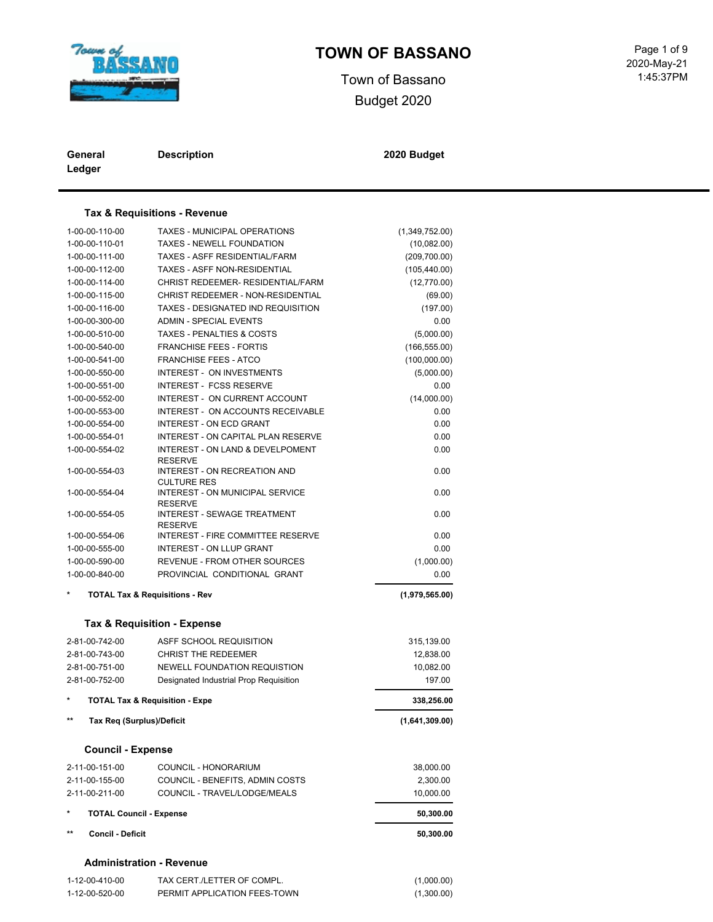

# **TOWN OF BASSANO** Page 1 of 9

Town of Bassano Budget 2020

| General | <b>Description</b> |
|---------|--------------------|
| Ledger  |                    |

**Description 2020 Budget**

#### **Tax & Requisitions - Revenue**

| 1-00-00-110-00                   | TAXES - MUNICIPAL OPERATIONS                         | (1,349,752.00) |
|----------------------------------|------------------------------------------------------|----------------|
| 1-00-00-110-01                   | <b>TAXES - NEWELL FOUNDATION</b>                     | (10,082.00)    |
| 1-00-00-111-00                   | TAXES - ASFF RESIDENTIAL/FARM                        | (209,700.00)   |
| 1-00-00-112-00                   | <b>TAXES - ASFF NON-RESIDENTIAL</b>                  | (105, 440.00)  |
| 1-00-00-114-00                   | CHRIST REDEEMER- RESIDENTIAL/FARM                    | (12,770.00)    |
| 1-00-00-115-00                   | CHRIST REDEEMER - NON-RESIDENTIAL                    | (69.00)        |
| 1-00-00-116-00                   | TAXES - DESIGNATED IND REQUISITION                   | (197.00)       |
| 1-00-00-300-00                   | <b>ADMIN - SPECIAL EVENTS</b>                        | 0.00           |
| 1-00-00-510-00                   | <b>TAXES - PENALTIES &amp; COSTS</b>                 | (5,000.00)     |
| 1-00-00-540-00                   | <b>FRANCHISE FEES - FORTIS</b>                       | (166, 555.00)  |
| 1-00-00-541-00                   | <b>FRANCHISE FEES - ATCO</b>                         | (100,000.00)   |
| 1-00-00-550-00                   | <b>INTEREST - ON INVESTMENTS</b>                     | (5,000.00)     |
| 1-00-00-551-00                   | <b>INTEREST - FCSS RESERVE</b>                       | 0.00           |
| 1-00-00-552-00                   | INTEREST - ON CURRENT ACCOUNT                        | (14,000.00)    |
| 1-00-00-553-00                   | <b>INTEREST - ON ACCOUNTS RECEIVABLE</b>             | 0.00           |
| 1-00-00-554-00                   | <b>INTEREST - ON ECD GRANT</b>                       | 0.00           |
| 1-00-00-554-01                   | INTEREST - ON CAPITAL PLAN RESERVE                   | 0.00           |
| 1-00-00-554-02                   | <b>INTEREST - ON LAND &amp; DEVELPOMENT</b>          | 0.00           |
|                                  | <b>RESERVE</b>                                       |                |
| 1-00-00-554-03                   | INTEREST - ON RECREATION AND<br><b>CULTURE RES</b>   | 0.00           |
| 1-00-00-554-04                   | INTEREST - ON MUNICIPAL SERVICE                      | 0.00           |
| 1-00-00-554-05                   | <b>RESERVE</b><br><b>INTEREST - SEWAGE TREATMENT</b> | 0.00           |
| 1-00-00-554-06                   | <b>RESERVE</b><br>INTEREST - FIRE COMMITTEE RESERVE  | 0.00           |
| 1-00-00-555-00                   | INTEREST - ON LLUP GRANT                             | 0.00           |
| 1-00-00-590-00                   | <b>REVENUE - FROM OTHER SOURCES</b>                  | (1,000.00)     |
| 1-00-00-840-00                   | PROVINCIAL CONDITIONAL GRANT                         | 0.00           |
|                                  | <b>TOTAL Tax &amp; Requisitions - Rev</b>            |                |
|                                  |                                                      | (1,979,565.00) |
|                                  | Tax & Requisition - Expense                          |                |
| 2-81-00-742-00                   | ASFF SCHOOL REQUISITION                              | 315,139.00     |
| 2-81-00-743-00                   | <b>CHRIST THE REDEEMER</b>                           | 12,838.00      |
| 2-81-00-751-00                   | NEWELL FOUNDATION REQUISTION                         | 10,082.00      |
| 2-81-00-752-00                   | Designated Industrial Prop Requisition               | 197.00         |
| $\star$                          | <b>TOTAL Tax &amp; Requisition - Expe</b>            | 338,256.00     |
| $***$                            | <b>Tax Reg (Surplus)/Deficit</b>                     | (1,641,309.00) |
| <b>Council - Expense</b>         |                                                      |                |
|                                  |                                                      |                |
| 2-11-00-151-00                   | COUNCIL - HONORARIUM                                 | 38,000.00      |
| 2-11-00-155-00                   | COUNCIL - BENEFITS, ADMIN COSTS                      | 2,300.00       |
| 2-11-00-211-00                   | COUNCIL - TRAVEL/LODGE/MEALS                         | 10,000.00      |
| $\star$                          | <b>TOTAL Council - Expense</b>                       | 50,300.00      |
| $***$<br><b>Concil - Deficit</b> |                                                      | 50,300.00      |
|                                  | <b>Administration - Revenue</b>                      |                |
| 1-12-00-410-00                   | TAX CERT./LETTER OF COMPL.                           | (1,000.00)     |
|                                  |                                                      |                |

1-12-00-520-00 PERMIT APPLICATION FEES-TOWN (1,300.00)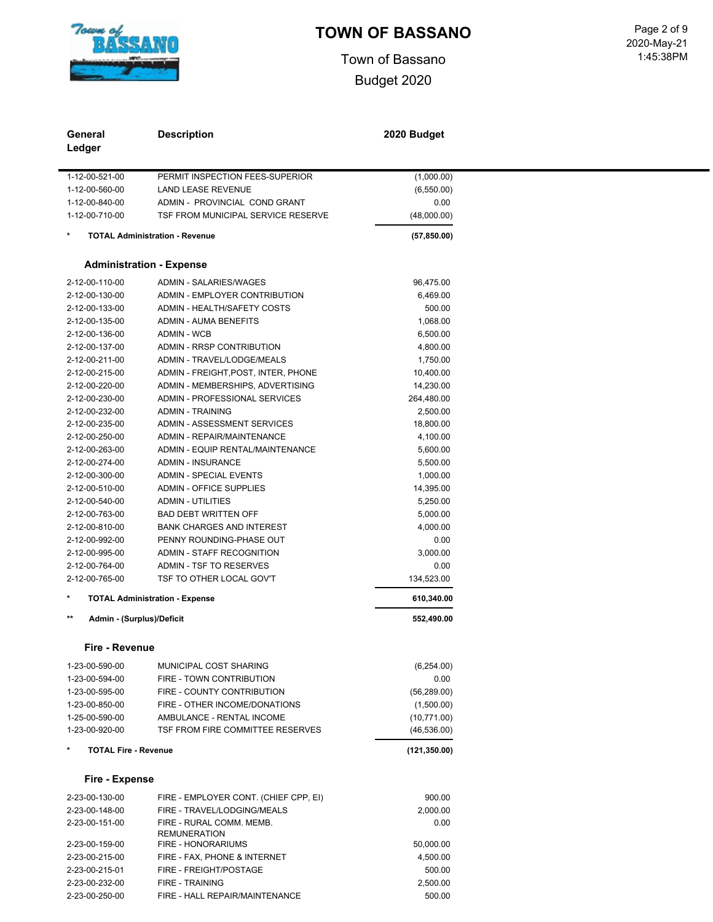

Town of Bassano Budget 2020

 1:45:38PM Page 2 of 9<br>2020-May-21

| General<br>Ledger                  | <b>Description</b>                    | 2020 Budget          |
|------------------------------------|---------------------------------------|----------------------|
| 1-12-00-521-00                     | PERMIT INSPECTION FEES-SUPERIOR       | (1,000.00)           |
| 1-12-00-560-00                     | <b>LAND LEASE REVENUE</b>             | (6,550.00)           |
| 1-12-00-840-00                     | ADMIN - PROVINCIAL COND GRANT         | 0.00                 |
| 1-12-00-710-00                     | TSF FROM MUNICIPAL SERVICE RESERVE    | (48,000.00)          |
|                                    | <b>TOTAL Administration - Revenue</b> | (57, 850.00)         |
|                                    | <b>Administration - Expense</b>       |                      |
| 2-12-00-110-00                     | ADMIN - SALARIES/WAGES                | 96,475.00            |
| 2-12-00-130-00                     | ADMIN - EMPLOYER CONTRIBUTION         | 6,469.00             |
| 2-12-00-133-00                     | ADMIN - HEALTH/SAFETY COSTS           | 500.00               |
| 2-12-00-135-00                     | <b>ADMIN - AUMA BENEFITS</b>          | 1,068.00             |
| 2-12-00-136-00                     | <b>ADMIN - WCB</b>                    | 6,500.00             |
| 2-12-00-137-00                     | ADMIN - RRSP CONTRIBUTION             | 4,800.00             |
| 2-12-00-211-00                     | ADMIN - TRAVEL/LODGE/MEALS            | 1,750.00             |
| 2-12-00-215-00                     | ADMIN - FREIGHT, POST, INTER, PHONE   | 10,400.00            |
| 2-12-00-220-00                     | ADMIN - MEMBERSHIPS, ADVERTISING      | 14,230.00            |
| 2-12-00-230-00                     | ADMIN - PROFESSIONAL SERVICES         | 264,480.00           |
| 2-12-00-232-00                     | <b>ADMIN - TRAINING</b>               | 2,500.00             |
| 2-12-00-235-00                     | ADMIN - ASSESSMENT SERVICES           | 18,800.00            |
| 2-12-00-250-00                     | ADMIN - REPAIR/MAINTENANCE            | 4,100.00             |
| 2-12-00-263-00                     | ADMIN - EQUIP RENTAL/MAINTENANCE      | 5,600.00             |
| 2-12-00-274-00                     | <b>ADMIN - INSURANCE</b>              | 5,500.00             |
| 2-12-00-300-00                     | <b>ADMIN - SPECIAL EVENTS</b>         | 1,000.00             |
| 2-12-00-510-00                     | <b>ADMIN - OFFICE SUPPLIES</b>        | 14,395.00            |
| 2-12-00-540-00                     | <b>ADMIN - UTILITIES</b>              | 5,250.00             |
| 2-12-00-763-00                     | <b>BAD DEBT WRITTEN OFF</b>           | 5,000.00             |
| 2-12-00-810-00                     | <b>BANK CHARGES AND INTEREST</b>      | 4,000.00             |
| 2-12-00-992-00                     | PENNY ROUNDING-PHASE OUT              | 0.00                 |
| 2-12-00-995-00                     | ADMIN - STAFF RECOGNITION             | 3,000.00             |
| 2-12-00-764-00                     | ADMIN - TSF TO RESERVES               | 0.00                 |
| 2-12-00-765-00                     | TSF TO OTHER LOCAL GOV'T              | 134,523.00           |
| $^{\star}$                         | <b>TOTAL Administration - Expense</b> | 610,340.00           |
| $***$<br>Admin - (Surplus)/Deficit |                                       | 552,490.00           |
|                                    |                                       |                      |
| Fire - Revenue<br>1-23-00-590-00   | MUNICIPAL COST SHARING                | (6,254.00)           |
|                                    |                                       |                      |
| 1-23-00-594-00                     | FIRE - TOWN CONTRIBUTION              | 0.00<br>(56, 289.00) |
| 1-23-00-595-00                     | FIRE - COUNTY CONTRIBUTION            |                      |
| 1-23-00-850-00                     | FIRE - OTHER INCOME/DONATIONS         | (1,500.00)           |
| 1-25-00-590-00                     | AMBULANCE - RENTAL INCOME             | (10,771.00)          |
| 1-23-00-920-00                     | TSF FROM FIRE COMMITTEE RESERVES      | (46, 536.00)         |
| *<br><b>TOTAL Fire - Revenue</b>   |                                       | (121, 350.00)        |
| Fire - Expense                     |                                       |                      |
| 2-23-00-130-00                     | FIRE - EMPLOYER CONT. (CHIEF CPP, EI) | 900.00               |
| 2-23-00-148-00                     | FIRE - TRAVEL/LODGING/MEALS           | 2,000.00             |
| 2-23-00-151-00                     | FIRE - RURAL COMM. MEMB.              | 0.00                 |
|                                    | <b>REMUNERATION</b>                   |                      |
| 2-23-00-159-00                     | FIRE - HONORARIUMS                    | 50,000.00            |
| 2-23-00-215-00                     | FIRE - FAX, PHONE & INTERNET          | 4,500.00             |
| 2-23-00-215-01                     | FIRE - FREIGHT/POSTAGE                | 500.00               |
| 2-23-00-232-00                     | FIRE - TRAINING                       | 2,500.00             |

2-23-00-250-00 FIRE - HALL REPAIR/MAINTENANCE 500.00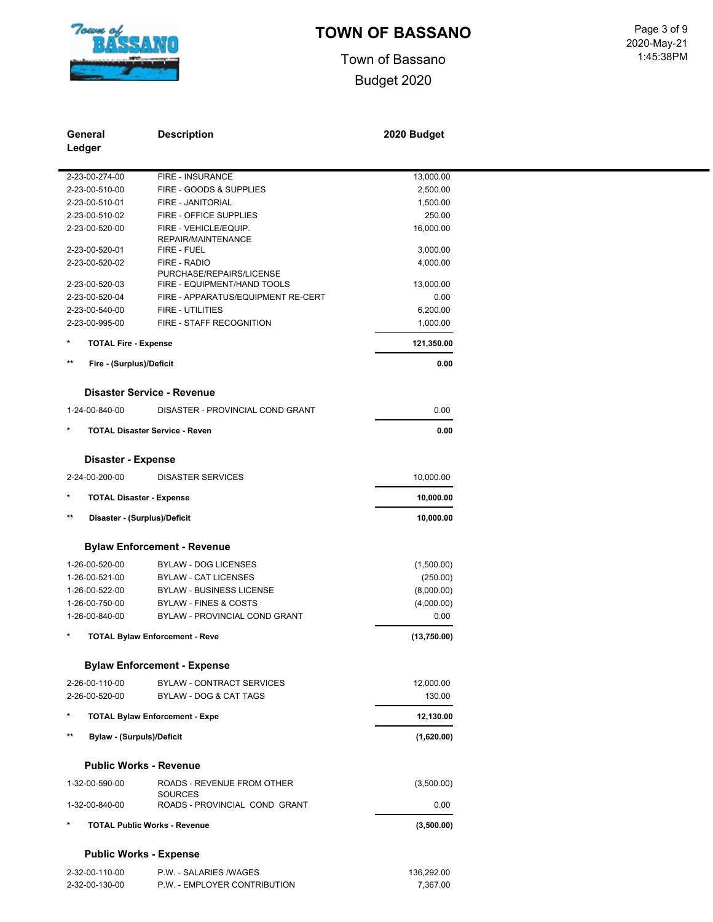

Town of Bassano Budget 2020

 1:45:38PM Page 3 of 9<br>2020-May-21

| General         |                                  | <b>Description</b>                              | 2020 Budget |
|-----------------|----------------------------------|-------------------------------------------------|-------------|
| Ledger          |                                  |                                                 |             |
|                 | 2-23-00-274-00                   | FIRE - INSURANCE                                | 13,000.00   |
|                 | 2-23-00-510-00                   | FIRE - GOODS & SUPPLIES                         | 2,500.00    |
|                 | 2-23-00-510-01                   | FIRE - JANITORIAL                               | 1,500.00    |
|                 | 2-23-00-510-02                   | FIRE - OFFICE SUPPLIES                          | 250.00      |
|                 | 2-23-00-520-00                   | FIRE - VEHICLE/EQUIP.<br>REPAIR/MAINTENANCE     | 16,000.00   |
|                 | 2-23-00-520-01                   | FIRE - FUEL                                     | 3,000.00    |
|                 | 2-23-00-520-02                   | FIRE - RADIO<br>PURCHASE/REPAIRS/LICENSE        | 4,000.00    |
|                 | 2-23-00-520-03                   | FIRE - EQUIPMENT/HAND TOOLS                     | 13,000.00   |
|                 | 2-23-00-520-04                   | FIRE - APPARATUS/EQUIPMENT RE-CERT              | 0.00        |
|                 | 2-23-00-540-00                   | <b>FIRE - UTILITIES</b>                         | 6,200.00    |
|                 | 2-23-00-995-00                   | FIRE - STAFF RECOGNITION                        | 1,000.00    |
| $\star$         | <b>TOTAL Fire - Expense</b>      |                                                 | 121,350.00  |
| $**$            | Fire - (Surplus)/Deficit         |                                                 | 0.00        |
|                 |                                  | <b>Disaster Service - Revenue</b>               |             |
|                 | 1-24-00-840-00                   | DISASTER - PROVINCIAL COND GRANT                | 0.00        |
|                 |                                  | <b>TOTAL Disaster Service - Reven</b>           | 0.00        |
|                 | <b>Disaster - Expense</b>        |                                                 |             |
|                 | 2-24-00-200-00                   | <b>DISASTER SERVICES</b>                        | 10,000.00   |
| *               | <b>TOTAL Disaster - Expense</b>  |                                                 | 10,000.00   |
| $***$           | Disaster - (Surplus)/Deficit     |                                                 | 10,000.00   |
|                 |                                  | <b>Bylaw Enforcement - Revenue</b>              |             |
|                 | 1-26-00-520-00                   | <b>BYLAW - DOG LICENSES</b>                     | (1,500.00)  |
|                 | 1-26-00-521-00                   | <b>BYLAW - CAT LICENSES</b>                     | (250.00)    |
|                 | 1-26-00-522-00                   | <b>BYLAW - BUSINESS LICENSE</b>                 | (8,000.00)  |
|                 | 1-26-00-750-00                   | <b>BYLAW - FINES &amp; COSTS</b>                | (4,000.00)  |
|                 | 1-26-00-840-00                   | BYLAW - PROVINCIAL COND GRANT                   | 0.00        |
| $\ast$          |                                  | <b>TOTAL Bylaw Enforcement - Reve</b>           | (13,750.00) |
|                 |                                  | <b>Bylaw Enforcement - Expense</b>              |             |
|                 | 2-26-00-110-00                   | BYLAW - CONTRACT SERVICES                       | 12,000.00   |
|                 | 2-26-00-520-00                   | BYLAW - DOG & CAT TAGS                          | 130.00      |
|                 |                                  | <b>TOTAL Bylaw Enforcement - Expe</b>           | 12,130.00   |
| $^{\star\star}$ | <b>Bylaw - (Surpuls)/Deficit</b> |                                                 | (1,620.00)  |
|                 |                                  | <b>Public Works - Revenue</b>                   |             |
|                 | 1-32-00-590-00                   | ROADS - REVENUE FROM OTHER                      | (3,500.00)  |
|                 | 1-32-00-840-00                   | <b>SOURCES</b><br>ROADS - PROVINCIAL COND GRANT | 0.00        |
|                 |                                  | <b>TOTAL Public Works - Revenue</b>             | (3,500.00)  |
|                 |                                  | <b>Public Works - Expense</b>                   |             |
|                 | 2-32-00-110-00                   | P.W. - SALARIES /WAGES                          | 136,292.00  |

2-32-00-130-00 P.W. - EMPLOYER CONTRIBUTION 7,367.00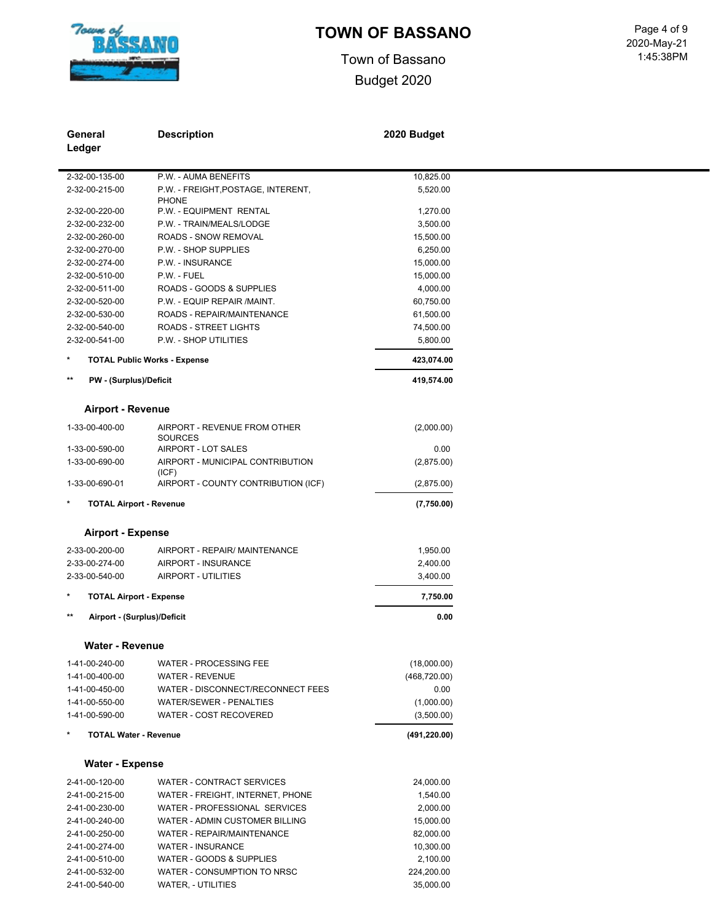

# **TOWN OF BASSANO** Page 4 of 9

Town of Bassano Budget 2020

 1:45:38PM 2020-May-21

| General                                      | <b>Description</b>                      | 2020 Budget   |
|----------------------------------------------|-----------------------------------------|---------------|
| Ledger                                       |                                         |               |
|                                              |                                         |               |
| 2-32-00-135-00                               | P.W. - AUMA BENEFITS                    | 10,825.00     |
| 2-32-00-215-00                               | P.W. - FREIGHT, POSTAGE, INTERENT,      | 5,520.00      |
| 2-32-00-220-00                               | <b>PHONE</b><br>P.W. - EQUIPMENT RENTAL | 1,270.00      |
| 2-32-00-232-00                               | P.W. - TRAIN/MEALS/LODGE                | 3,500.00      |
| 2-32-00-260-00                               | ROADS - SNOW REMOVAL                    | 15,500.00     |
| 2-32-00-270-00                               | P.W. - SHOP SUPPLIES                    | 6,250.00      |
| 2-32-00-274-00                               | P.W. - INSURANCE                        | 15,000.00     |
| 2-32-00-510-00                               | P.W. - FUEL                             | 15,000.00     |
| 2-32-00-511-00                               | ROADS - GOODS & SUPPLIES                | 4,000.00      |
| 2-32-00-520-00                               | P.W. - EQUIP REPAIR /MAINT.             | 60,750.00     |
| 2-32-00-530-00                               | ROADS - REPAIR/MAINTENANCE              | 61,500.00     |
| 2-32-00-540-00                               | <b>ROADS - STREET LIGHTS</b>            | 74,500.00     |
| 2-32-00-541-00                               | P.W. - SHOP UTILITIES                   | 5,800.00      |
|                                              |                                         |               |
|                                              | <b>TOTAL Public Works - Expense</b>     | 423,074.00    |
| $\star\star$<br>PW - (Surplus)/Deficit       |                                         | 419,574.00    |
|                                              |                                         |               |
| <b>Airport - Revenue</b>                     |                                         |               |
| 1-33-00-400-00                               | AIRPORT - REVENUE FROM OTHER            | (2,000.00)    |
| 1-33-00-590-00                               | <b>SOURCES</b><br>AIRPORT - LOT SALES   | 0.00          |
| 1-33-00-690-00                               | AIRPORT - MUNICIPAL CONTRIBUTION        | (2,875.00)    |
|                                              | (ICF)                                   |               |
| 1-33-00-690-01                               | AIRPORT - COUNTY CONTRIBUTION (ICF)     | (2,875.00)    |
| <b>TOTAL Airport - Revenue</b>               |                                         | (7,750.00)    |
|                                              |                                         |               |
| <b>Airport - Expense</b>                     |                                         |               |
| 2-33-00-200-00                               | AIRPORT - REPAIR/ MAINTENANCE           | 1,950.00      |
| 2-33-00-274-00                               | AIRPORT - INSURANCE                     | 2,400.00      |
| 2-33-00-540-00                               | AIRPORT - UTILITIES                     | 3,400.00      |
| $^{\star}$<br><b>TOTAL Airport - Expense</b> |                                         | 7,750.00      |
| $\star\star$                                 |                                         |               |
| Airport - (Surplus)/Deficit                  |                                         | 0.00          |
| <b>Water - Revenue</b>                       |                                         |               |
|                                              |                                         |               |
| 1-41-00-240-00                               | WATER - PROCESSING FEE                  | (18,000.00)   |
| 1-41-00-400-00                               | <b>WATER - REVENUE</b>                  | (468, 720.00) |
| 1-41-00-450-00                               | WATER - DISCONNECT/RECONNECT FEES       | 0.00          |
| 1-41-00-550-00                               | WATER/SEWER - PENALTIES                 | (1,000.00)    |
| 1-41-00-590-00                               | WATER - COST RECOVERED                  | (3,500.00)    |
| $^{\star}$<br><b>TOTAL Water - Revenue</b>   |                                         | (491, 220.00) |
|                                              |                                         |               |
| <b>Water - Expense</b>                       |                                         |               |
| 2-41-00-120-00                               | <b>WATER - CONTRACT SERVICES</b>        | 24,000.00     |
| 2-41-00-215-00                               | WATER - FREIGHT, INTERNET, PHONE        | 1,540.00      |
| 2-41-00-230-00                               | WATER - PROFESSIONAL SERVICES           | 2,000.00      |
| 2-41-00-240-00                               | WATER - ADMIN CUSTOMER BILLING          | 15,000.00     |
| 2-41-00-250-00                               | WATER - REPAIR/MAINTENANCE              | 82,000.00     |
| 2-41-00-274-00                               | <b>WATER - INSURANCE</b>                | 10,300.00     |
| 2-41-00-510-00                               | WATER - GOODS & SUPPLIES                | 2,100.00      |

2-41-00-532-00 WATER - CONSUMPTION TO NRSC 224,200.00 2-41-00-540-00 WATER, - UTILITIES 35,000.00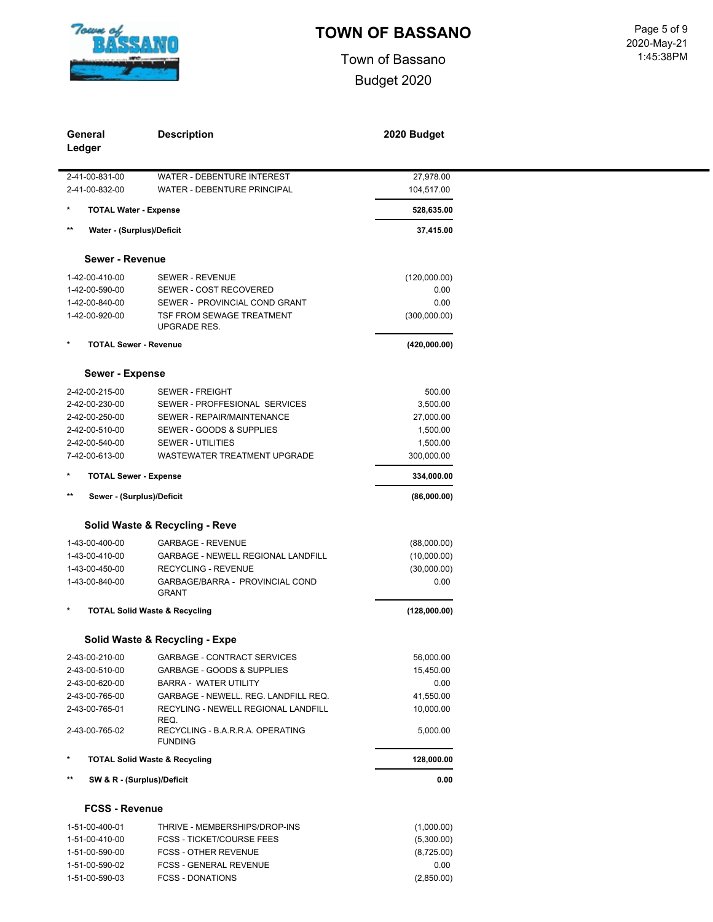

 $\blacksquare$ 

# TOWN OF BASSANO<br>
Page 5 of 9

Town of Bassano Budget 2020

|                 | General<br>Ledger            | <b>Description</b>                                 | 2020 Budget  |
|-----------------|------------------------------|----------------------------------------------------|--------------|
|                 | 2-41-00-831-00               | WATER - DEBENTURE INTEREST                         | 27,978.00    |
|                 | 2-41-00-832-00               | WATER - DEBENTURE PRINCIPAL                        | 104,517.00   |
| $\star$         | <b>TOTAL Water - Expense</b> |                                                    | 528,635.00   |
| $\star\star$    | Water - (Surplus)/Deficit    |                                                    | 37,415.00    |
|                 |                              |                                                    |              |
|                 | <b>Sewer - Revenue</b>       |                                                    |              |
|                 | 1-42-00-410-00               | <b>SEWER - REVENUE</b>                             | (120,000.00) |
|                 | 1-42-00-590-00               | SEWER - COST RECOVERED                             | 0.00         |
|                 | 1-42-00-840-00               | SEWER - PROVINCIAL COND GRANT                      | 0.00         |
|                 | 1-42-00-920-00               | TSF FROM SEWAGE TREATMENT<br><b>UPGRADE RES.</b>   | (300,000.00) |
| $\star$         | <b>TOTAL Sewer - Revenue</b> |                                                    | (420,000.00) |
|                 | Sewer - Expense              |                                                    |              |
|                 | 2-42-00-215-00               | <b>SEWER - FREIGHT</b>                             | 500.00       |
|                 | 2-42-00-230-00               | SEWER - PROFFESIONAL SERVICES                      | 3,500.00     |
|                 | 2-42-00-250-00               | SEWER - REPAIR/MAINTENANCE                         | 27,000.00    |
|                 | 2-42-00-510-00               | SEWER - GOODS & SUPPLIES                           | 1,500.00     |
|                 | 2-42-00-540-00               | <b>SEWER - UTILITIES</b>                           | 1,500.00     |
|                 | 7-42-00-613-00               | <b>WASTEWATER TREATMENT UPGRADE</b>                | 300,000.00   |
| $\star$         | <b>TOTAL Sewer - Expense</b> |                                                    | 334,000.00   |
| $\star\star$    | Sewer - (Surplus)/Deficit    |                                                    | (86,000.00)  |
|                 |                              | Solid Waste & Recycling - Reve                     |              |
|                 | 1-43-00-400-00               | <b>GARBAGE - REVENUE</b>                           | (88,000.00)  |
|                 | 1-43-00-410-00               | <b>GARBAGE - NEWELL REGIONAL LANDFILL</b>          | (10,000.00)  |
|                 | 1-43-00-450-00               | RECYCLING - REVENUE                                | (30,000.00)  |
|                 | 1-43-00-840-00               | GARBAGE/BARRA - PROVINCIAL COND<br><b>GRANT</b>    | 0.00         |
| $\star$         |                              | <b>TOTAL Solid Waste &amp; Recycling</b>           | (128,000.00) |
|                 |                              | Solid Waste & Recycling - Expe                     |              |
|                 | 2-43-00-210-00               | <b>GARBAGE - CONTRACT SERVICES</b>                 | 56,000.00    |
|                 | 2-43-00-510-00               | GARBAGE - GOODS & SUPPLIES                         | 15,450.00    |
|                 | 2-43-00-620-00               | <b>BARRA - WATER UTILITY</b>                       | 0.00         |
|                 | 2-43-00-765-00               | GARBAGE - NEWELL. REG. LANDFILL REQ.               | 41,550.00    |
|                 | 2-43-00-765-01               | RECYLING - NEWELL REGIONAL LANDFILL<br>REQ.        | 10,000.00    |
|                 | 2-43-00-765-02               | RECYCLING - B.A.R.R.A. OPERATING<br><b>FUNDING</b> | 5,000.00     |
| $\star$         |                              | <b>TOTAL Solid Waste &amp; Recycling</b>           | 128,000.00   |
| $^{\star\star}$ | SW & R - (Surplus)/Deficit   |                                                    | 0.00         |
|                 | <b>FCSS - Revenue</b>        |                                                    |              |
|                 | 1-51-00-400-01               | THRIVE - MEMBERSHIPS/DROP-INS                      | (1,000.00)   |
|                 | 1-51-00-410-00               | <b>FCSS - TICKET/COURSE FEES</b>                   | (5,300.00)   |
|                 | 1-51-00-590-00               | <b>FCSS - OTHER REVENUE</b>                        | (8,725.00)   |
|                 | 1-51-00-590-02               | <b>FCSS - GENERAL REVENUE</b>                      | 0.00         |
|                 | 1-51-00-590-03               | <b>FCSS - DONATIONS</b>                            | (2,850.00)   |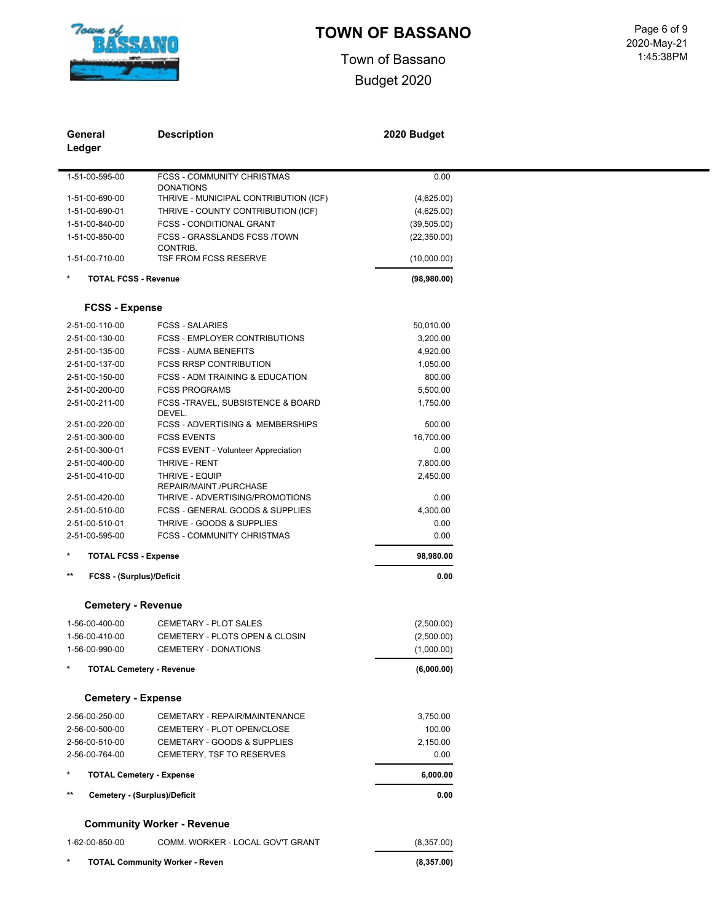

Town of Bassano Budget 2020

 1:45:38PM Page 6 of 9<br>2020-May-21

|              | General                         | <b>Description</b>                         | 2020 Budget  |
|--------------|---------------------------------|--------------------------------------------|--------------|
|              | Ledger                          |                                            |              |
|              | 1-51-00-595-00                  | FCSS - COMMUNITY CHRISTMAS                 |              |
|              |                                 | <b>DONATIONS</b>                           | 0.00         |
|              | 1-51-00-690-00                  | THRIVE - MUNICIPAL CONTRIBUTION (ICF)      | (4,625.00)   |
|              | 1-51-00-690-01                  | THRIVE - COUNTY CONTRIBUTION (ICF)         | (4,625.00)   |
|              | 1-51-00-840-00                  | <b>FCSS - CONDITIONAL GRANT</b>            | (39, 505.00) |
|              | 1-51-00-850-00                  | FCSS - GRASSLANDS FCSS /TOWN               | (22, 350.00) |
|              | 1-51-00-710-00                  | CONTRIB.<br>TSF FROM FCSS RESERVE          | (10,000.00)  |
| *            | <b>TOTAL FCSS - Revenue</b>     |                                            | (98, 980.00) |
|              |                                 |                                            |              |
|              | <b>FCSS - Expense</b>           |                                            |              |
|              | 2-51-00-110-00                  | <b>FCSS - SALARIES</b>                     | 50,010.00    |
|              | 2-51-00-130-00                  | FCSS - EMPLOYER CONTRIBUTIONS              | 3,200.00     |
|              | 2-51-00-135-00                  | <b>FCSS - AUMA BENEFITS</b>                | 4,920.00     |
|              | 2-51-00-137-00                  | <b>FCSS RRSP CONTRIBUTION</b>              | 1,050.00     |
|              | 2-51-00-150-00                  | <b>FCSS - ADM TRAINING &amp; EDUCATION</b> | 800.00       |
|              | 2-51-00-200-00                  | <b>FCSS PROGRAMS</b>                       | 5,500.00     |
|              | 2-51-00-211-00                  | FCSS-TRAVEL, SUBSISTENCE & BOARD           | 1,750.00     |
|              |                                 | DEVEL.                                     |              |
|              | 2-51-00-220-00                  | FCSS - ADVERTISING & MEMBERSHIPS           | 500.00       |
|              | 2-51-00-300-00                  | <b>FCSS EVENTS</b>                         | 16,700.00    |
|              | 2-51-00-300-01                  | FCSS EVENT - Volunteer Appreciation        | 0.00         |
|              | 2-51-00-400-00                  | THRIVE - RENT                              | 7,800.00     |
|              | 2-51-00-410-00                  | THRIVE - EQUIP                             | 2,450.00     |
|              |                                 | REPAIR/MAINT./PURCHASE                     |              |
|              | 2-51-00-420-00                  | THRIVE - ADVERTISING/PROMOTIONS            | 0.00         |
|              | 2-51-00-510-00                  | FCSS - GENERAL GOODS & SUPPLIES            | 4,300.00     |
|              | 2-51-00-510-01                  | THRIVE - GOODS & SUPPLIES                  | 0.00         |
|              | 2-51-00-595-00                  | <b>FCSS - COMMUNITY CHRISTMAS</b>          | 0.00         |
| *            | <b>TOTAL FCSS - Expense</b>     |                                            | 98,980.00    |
| $\star\star$ | <b>FCSS - (Surplus)/Deficit</b> |                                            | 0.00         |
|              | <b>Cemetery - Revenue</b>       |                                            |              |
|              |                                 |                                            |              |
|              | 1-56-00-400-00                  | CEMETARY - PLOT SALES                      | (2,500.00)   |
|              | 1-56-00-410-00                  | CEMETERY - PLOTS OPEN & CLOSIN             | (2,500.00)   |
|              | 1-56-00-990-00                  | CEMETERY - DONATIONS                       | (1,000.00)   |
|              |                                 | <b>TOTAL Cemetery - Revenue</b>            | (6,000.00)   |
|              |                                 |                                            |              |
|              | <b>Cemetery - Expense</b>       |                                            |              |
|              | 2-56-00-250-00                  | CEMETARY - REPAIR/MAINTENANCE              | 3,750.00     |
|              | 2-56-00-500-00                  | CEMETERY - PLOT OPEN/CLOSE                 | 100.00       |
|              | 2-56-00-510-00                  | CEMETARY - GOODS & SUPPLIES                | 2,150.00     |
|              | 2-56-00-764-00                  | CEMETERY, TSF TO RESERVES                  | 0.00         |
| *            |                                 | <b>TOTAL Cemetery - Expense</b>            | 6,000.00     |
| $***$        |                                 | Cemetery - (Surplus)/Deficit               | 0.00         |
|              |                                 | <b>Community Worker - Revenue</b>          |              |
|              | 1-62-00-850-00                  | COMM. WORKER - LOCAL GOV'T GRANT           | (8,357.00)   |
|              |                                 |                                            |              |
|              |                                 | <b>TOTAL Community Worker - Reven</b>      | (8,357.00)   |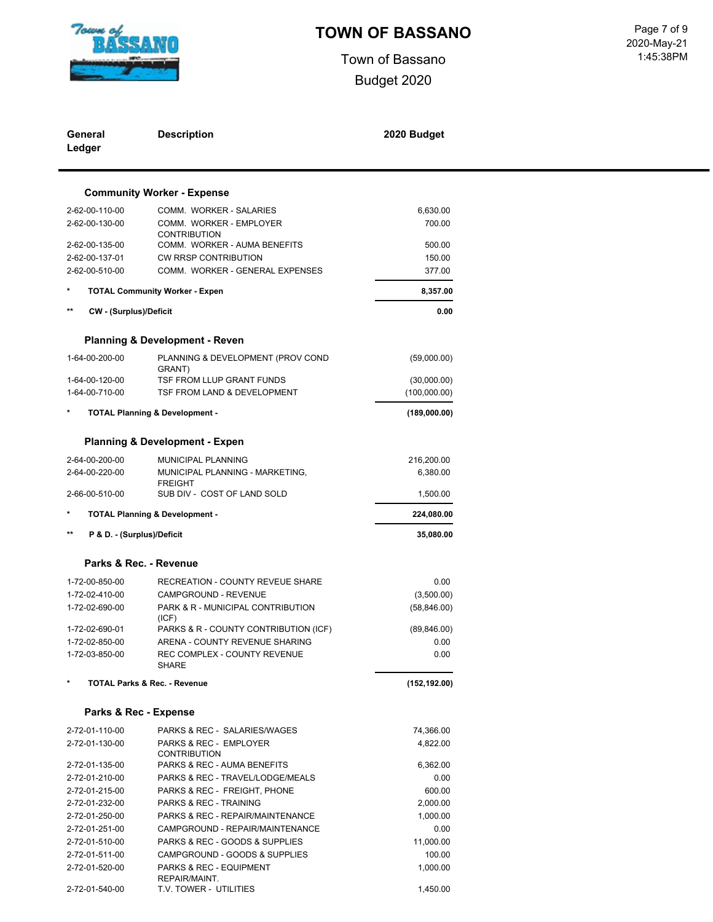

Town of Bassano Budget 2020

 1:45:38PM Page 7 of 9<br>2020-May-21

| General<br>Ledger                      | <b>Description</b>                                         | 2020 Budget          |  |
|----------------------------------------|------------------------------------------------------------|----------------------|--|
|                                        | <b>Community Worker - Expense</b>                          |                      |  |
| 2-62-00-110-00                         | COMM. WORKER - SALARIES                                    | 6,630.00             |  |
| 2-62-00-130-00                         | COMM. WORKER - EMPLOYER                                    | 700.00               |  |
| 2-62-00-135-00                         | <b>CONTRIBUTION</b><br>COMM. WORKER - AUMA BENEFITS        | 500.00               |  |
| 2-62-00-137-01                         | CW RRSP CONTRIBUTION                                       | 150.00               |  |
| 2-62-00-510-00                         | COMM. WORKER - GENERAL EXPENSES                            | 377.00               |  |
| $\ast$                                 | <b>TOTAL Community Worker - Expen</b>                      | 8,357.00             |  |
| $***$<br><b>CW - (Surplus)/Deficit</b> |                                                            | 0.00                 |  |
|                                        |                                                            |                      |  |
|                                        | <b>Planning &amp; Development - Reven</b>                  |                      |  |
| 1-64-00-200-00                         | PLANNING & DEVELOPMENT (PROV COND<br>GRANT)                | (59,000.00)          |  |
| 1-64-00-120-00                         | TSF FROM LLUP GRANT FUNDS                                  | (30,000.00)          |  |
| 1-64-00-710-00                         | TSF FROM LAND & DEVELOPMENT                                | (100,000.00)         |  |
|                                        | <b>TOTAL Planning &amp; Development -</b>                  | (189,000.00)         |  |
|                                        | <b>Planning &amp; Development - Expen</b>                  |                      |  |
| 2-64-00-200-00                         | MUNICIPAL PLANNING                                         | 216,200.00           |  |
| 2-64-00-220-00                         | MUNICIPAL PLANNING - MARKETING,                            | 6,380.00             |  |
|                                        | <b>FREIGHT</b>                                             |                      |  |
| 2-66-00-510-00                         | SUB DIV - COST OF LAND SOLD                                | 1,500.00             |  |
|                                        | <b>TOTAL Planning &amp; Development -</b>                  | 224,080.00           |  |
| $***$<br>P & D. - (Surplus)/Deficit    |                                                            | 35,080.00            |  |
|                                        | Parks & Rec. - Revenue                                     |                      |  |
| 1-72-00-850-00                         | RECREATION - COUNTY REVEUE SHARE                           | 0.00                 |  |
| 1-72-02-410-00                         | CAMPGROUND - REVENUE                                       | (3,500.00)           |  |
| 1-72-02-690-00                         | PARK & R - MUNICIPAL CONTRIBUTION<br>(ICF)                 | (58, 846.00)         |  |
| 1-72-02-690-01                         | PARKS & R - COUNTY CONTRIBUTION (ICF)                      | (89, 846.00)         |  |
| 1-72-02-850-00                         | ARENA - COUNTY REVENUE SHARING                             | 0.00                 |  |
| 1-72-03-850-00                         | REC COMPLEX - COUNTY REVENUE<br><b>SHARE</b>               | 0.00                 |  |
|                                        | <b>TOTAL Parks &amp; Rec. - Revenue</b>                    | (152, 192.00)        |  |
|                                        | Parks & Rec - Expense                                      |                      |  |
| 2-72-01-110-00                         | PARKS & REC - SALARIES/WAGES                               | 74,366.00            |  |
| 2-72-01-130-00                         | PARKS & REC - EMPLOYER                                     | 4,822.00             |  |
|                                        | <b>CONTRIBUTION</b>                                        |                      |  |
| 2-72-01-135-00                         | PARKS & REC - AUMA BENEFITS                                | 6,362.00             |  |
| 2-72-01-210-00                         | PARKS & REC - TRAVEL/LODGE/MEALS                           | 0.00                 |  |
| 2-72-01-215-00                         | PARKS & REC - FREIGHT, PHONE                               | 600.00               |  |
| 2-72-01-232-00<br>2-72-01-250-00       | PARKS & REC - TRAINING<br>PARKS & REC - REPAIR/MAINTENANCE | 2,000.00<br>1,000.00 |  |
| 2-72-01-251-00                         | CAMPGROUND - REPAIR/MAINTENANCE                            | 0.00                 |  |
| 2-72-01-510-00                         | PARKS & REC - GOODS & SUPPLIES                             | 11,000.00            |  |
| 2-72-01-511-00                         | CAMPGROUND - GOODS & SUPPLIES                              | 100.00               |  |
| 2-72-01-520-00                         | PARKS & REC - EQUIPMENT<br>REPAIR/MAINT.                   | 1,000.00             |  |

2-72-01-540-00 T.V. TOWER - UTILITIES 1,450.00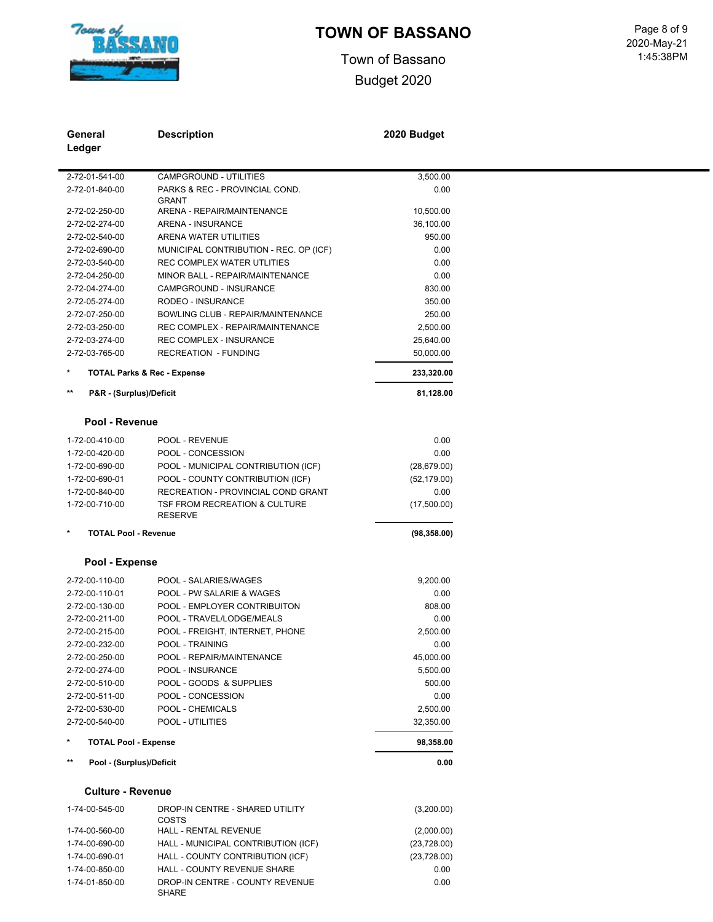

1-74-01-850-00 DROP-IN CENTRE - COUNTY REVENUE SHARE

# **TOWN OF BASSANO** Page 8 of 9

Town of Bassano Budget 2020

| General                                  | <b>Description</b>                              | 2020 Budget  |  |
|------------------------------------------|-------------------------------------------------|--------------|--|
| Ledger                                   |                                                 |              |  |
|                                          |                                                 |              |  |
| 2-72-01-541-00                           | CAMPGROUND - UTILITIES                          | 3,500.00     |  |
| 2-72-01-840-00                           | PARKS & REC - PROVINCIAL COND.                  | 0.00         |  |
|                                          | <b>GRANT</b>                                    |              |  |
| 2-72-02-250-00                           | ARENA - REPAIR/MAINTENANCE                      | 10,500.00    |  |
| 2-72-02-274-00                           | ARENA - INSURANCE                               | 36,100.00    |  |
| 2-72-02-540-00                           | ARENA WATER UTILITIES                           | 950.00       |  |
| 2-72-02-690-00                           | MUNICIPAL CONTRIBUTION - REC. OP (ICF)          | 0.00         |  |
| 2-72-03-540-00                           | <b>REC COMPLEX WATER UTLITIES</b>               | 0.00         |  |
| 2-72-04-250-00                           | MINOR BALL - REPAIR/MAINTENANCE                 | 0.00         |  |
| 2-72-04-274-00                           | CAMPGROUND - INSURANCE                          | 830.00       |  |
| 2-72-05-274-00                           | RODEO - INSURANCE                               | 350.00       |  |
| 2-72-07-250-00                           | BOWLING CLUB - REPAIR/MAINTENANCE               | 250.00       |  |
| 2-72-03-250-00                           | REC COMPLEX - REPAIR/MAINTENANCE                | 2,500.00     |  |
| 2-72-03-274-00                           | <b>REC COMPLEX - INSURANCE</b>                  | 25,640.00    |  |
| 2-72-03-765-00                           | <b>RECREATION - FUNDING</b>                     | 50,000.00    |  |
| *                                        | <b>TOTAL Parks &amp; Rec - Expense</b>          | 233,320.00   |  |
| $\star\star$<br>P&R - (Surplus)/Deficit  |                                                 | 81,128.00    |  |
|                                          |                                                 |              |  |
| Pool - Revenue                           |                                                 |              |  |
| 1-72-00-410-00                           | POOL - REVENUE                                  | 0.00         |  |
| 1-72-00-420-00                           | POOL - CONCESSION                               | 0.00         |  |
| 1-72-00-690-00                           | POOL - MUNICIPAL CONTRIBUTION (ICF)             | (28, 679.00) |  |
| 1-72-00-690-01                           | POOL - COUNTY CONTRIBUTION (ICF)                | (52, 179.00) |  |
| 1-72-00-840-00                           | RECREATION - PROVINCIAL COND GRANT              | 0.00         |  |
| 1-72-00-710-00                           | TSF FROM RECREATION & CULTURE                   | (17,500.00)  |  |
|                                          | <b>RESERVE</b>                                  |              |  |
| *<br><b>TOTAL Pool - Revenue</b>         |                                                 | (98, 358.00) |  |
| Pool - Expense                           |                                                 |              |  |
| 2-72-00-110-00                           | POOL - SALARIES/WAGES                           | 9.200.00     |  |
| 2-72-00-110-01                           | POOL - PW SALARIE & WAGES                       | 0.00         |  |
| 2-72-00-130-00                           | POOL - EMPLOYER CONTRIBUITON                    | 808.00       |  |
| 2-72-00-211-00                           | POOL - TRAVEL/LODGE/MEALS                       | 0.00         |  |
| 2-72-00-215-00                           | POOL - FREIGHT, INTERNET, PHONE                 | 2,500.00     |  |
| 2-72-00-232-00                           | POOL - TRAINING                                 | 0.00         |  |
| 2-72-00-250-00                           | POOL - REPAIR/MAINTENANCE                       | 45,000.00    |  |
| 2-72-00-274-00                           | POOL - INSURANCE                                | 5,500.00     |  |
| 2-72-00-510-00                           | POOL - GOODS & SUPPLIES                         | 500.00       |  |
| 2-72-00-511-00                           | POOL - CONCESSION                               | 0.00         |  |
| 2-72-00-530-00                           | POOL - CHEMICALS                                | 2,500.00     |  |
| 2-72-00-540-00                           | POOL - UTILITIES                                | 32,350.00    |  |
|                                          |                                                 |              |  |
| <b>TOTAL Pool - Expense</b>              |                                                 | 98,358.00    |  |
| $\star\star$<br>Pool - (Surplus)/Deficit |                                                 | 0.00         |  |
| <b>Culture - Revenue</b>                 |                                                 |              |  |
| 1-74-00-545-00                           | DROP-IN CENTRE - SHARED UTILITY<br><b>COSTS</b> | (3,200.00)   |  |
| 1-74-00-560-00                           | HALL - RENTAL REVENUE                           | (2,000.00)   |  |
| 1-74-00-690-00                           | HALL - MUNICIPAL CONTRIBUTION (ICF)             | (23, 728.00) |  |
| 1-74-00-690-01                           | HALL - COUNTY CONTRIBUTION (ICF)                | (23, 728.00) |  |
| 1-74-00-850-00                           | HALL - COUNTY REVENUE SHARE                     | 0.00         |  |
|                                          |                                                 |              |  |

0.00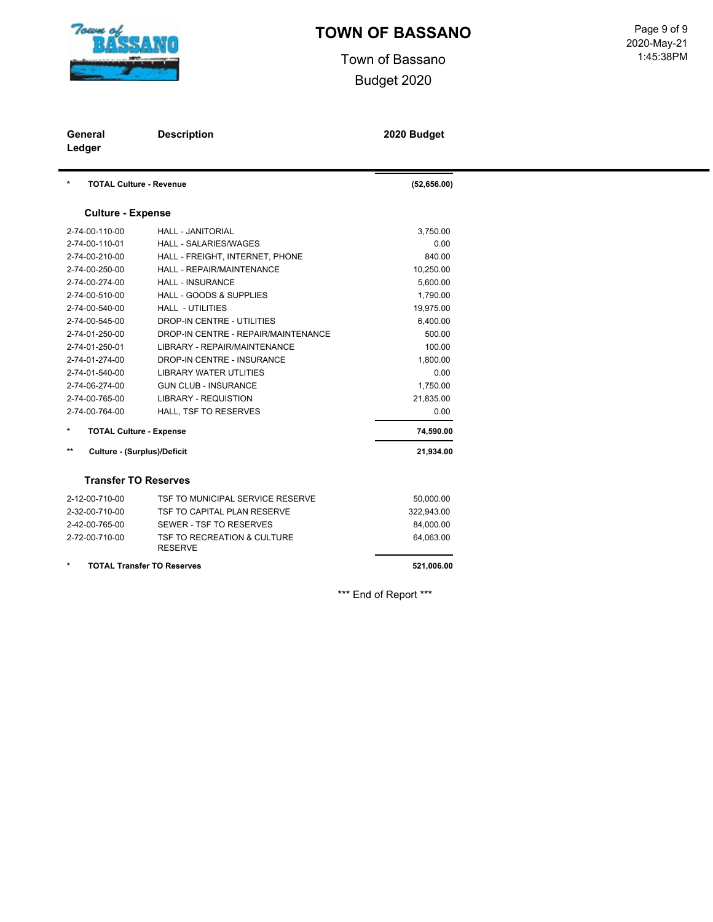

Town of Bassano Budget 2020

| General<br>Ledger                            | <b>Description</b>                            | 2020 Budget  |  |  |
|----------------------------------------------|-----------------------------------------------|--------------|--|--|
| $\star$<br><b>TOTAL Culture - Revenue</b>    |                                               | (52, 656.00) |  |  |
| <b>Culture - Expense</b>                     |                                               |              |  |  |
| 2-74-00-110-00                               | <b>HALL - JANITORIAL</b>                      | 3,750.00     |  |  |
| 2-74-00-110-01                               | <b>HALL - SALARIES/WAGES</b>                  | 0.00         |  |  |
| 2-74-00-210-00                               | HALL - FREIGHT, INTERNET, PHONE               | 840.00       |  |  |
| 2-74-00-250-00                               | <b>HALL - REPAIR/MAINTENANCE</b>              | 10,250.00    |  |  |
| 2-74-00-274-00                               | <b>HALL - INSURANCE</b>                       | 5,600.00     |  |  |
| 2-74-00-510-00                               | <b>HALL - GOODS &amp; SUPPLIES</b>            | 1,790.00     |  |  |
| 2-74-00-540-00                               | <b>HALL - UTILITIES</b>                       | 19,975.00    |  |  |
| 2-74-00-545-00                               | <b>DROP-IN CENTRE - UTILITIES</b>             | 6,400.00     |  |  |
| 2-74-01-250-00                               | DROP-IN CENTRE - REPAIR/MAINTENANCE           | 500.00       |  |  |
| 2-74-01-250-01                               | LIBRARY - REPAIR/MAINTENANCE                  | 100.00       |  |  |
| 2-74-01-274-00                               | DROP-IN CENTRE - INSURANCE                    | 1,800.00     |  |  |
| 2-74-01-540-00                               | <b>LIBRARY WATER UTLITIES</b>                 | 0.00         |  |  |
| 2-74-06-274-00                               | <b>GUN CLUB - INSURANCE</b>                   | 1,750.00     |  |  |
| 2-74-00-765-00                               | <b>LIBRARY - REQUISTION</b>                   | 21,835.00    |  |  |
| 2-74-00-764-00                               | HALL, TSF TO RESERVES                         | 0.00         |  |  |
| $\star$<br><b>TOTAL Culture - Expense</b>    |                                               | 74,590.00    |  |  |
| $***$<br><b>Culture - (Surplus)/Deficit</b>  |                                               | 21,934.00    |  |  |
| <b>Transfer TO Reserves</b>                  |                                               |              |  |  |
| 2-12-00-710-00                               | TSF TO MUNICIPAL SERVICE RESERVE              | 50,000.00    |  |  |
| 2-32-00-710-00                               | TSF TO CAPITAL PLAN RESERVE                   | 322,943.00   |  |  |
| 2-42-00-765-00                               | SEWER - TSF TO RESERVES                       | 84,000.00    |  |  |
| 2-72-00-710-00                               | TSF TO RECREATION & CULTURE<br><b>RESERVE</b> | 64,063.00    |  |  |
| $\star$<br><b>TOTAL Transfer TO Reserves</b> |                                               | 521,006.00   |  |  |

\*\*\* End of Report \*\*\*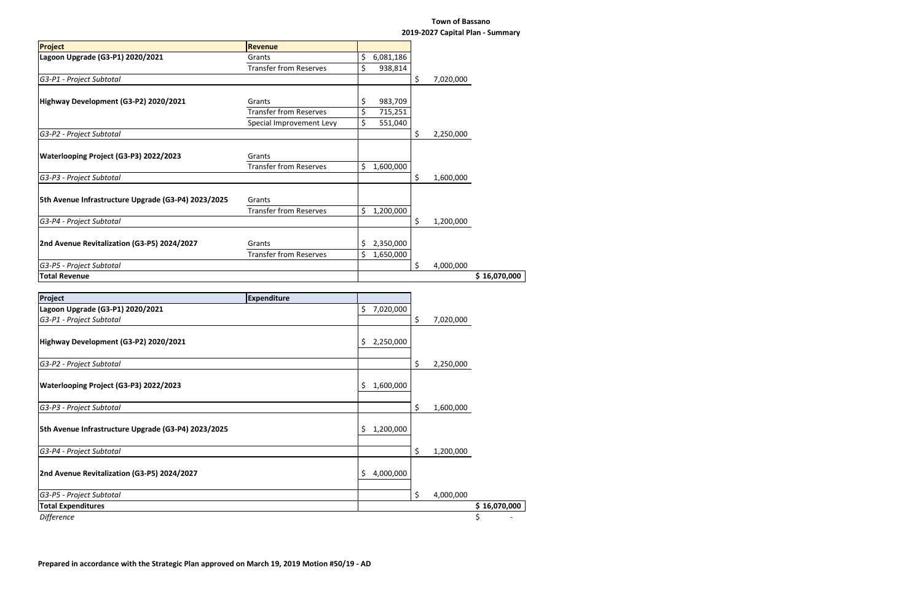### **Town of Bassano 2019-2027 Capital Plan - Summary**

|                                                     |                               |     |           |                 | 2019-2027 Capital Plan - Summary |
|-----------------------------------------------------|-------------------------------|-----|-----------|-----------------|----------------------------------|
| Project                                             | <b>Revenue</b>                |     |           |                 |                                  |
| Lagoon Upgrade (G3-P1) 2020/2021                    | Grants                        | \$  | 6,081,186 |                 |                                  |
|                                                     | <b>Transfer from Reserves</b> | \$  | 938,814   |                 |                                  |
| G3-P1 - Project Subtotal                            |                               |     |           | \$<br>7,020,000 |                                  |
|                                                     |                               |     |           |                 |                                  |
| Highway Development (G3-P2) 2020/2021               | Grants                        | \$  | 983,709   |                 |                                  |
|                                                     | <b>Transfer from Reserves</b> | \$  | 715,251   |                 |                                  |
|                                                     | Special Improvement Levy      | \$  | 551,040   |                 |                                  |
| G3-P2 - Project Subtotal                            |                               |     |           | \$<br>2,250,000 |                                  |
|                                                     |                               |     |           |                 |                                  |
| Waterlooping Project (G3-P3) 2022/2023              | Grants                        |     |           |                 |                                  |
|                                                     | <b>Transfer from Reserves</b> | \$  | 1,600,000 |                 |                                  |
| G3-P3 - Project Subtotal                            |                               |     |           | \$<br>1,600,000 |                                  |
|                                                     |                               |     |           |                 |                                  |
| 5th Avenue Infrastructure Upgrade (G3-P4) 2023/2025 | Grants                        |     |           |                 |                                  |
|                                                     | <b>Transfer from Reserves</b> | \$  | 1,200,000 |                 |                                  |
| G3-P4 - Project Subtotal                            |                               |     |           | \$<br>1,200,000 |                                  |
|                                                     |                               |     |           |                 |                                  |
| 2nd Avenue Revitalization (G3-P5) 2024/2027         | Grants                        | \$, | 2,350,000 |                 |                                  |
|                                                     | <b>Transfer from Reserves</b> | \$  | 1,650,000 |                 |                                  |
| G3-P5 - Project Subtotal                            |                               |     |           | \$<br>4,000,000 |                                  |
| <b>Total Revenue</b>                                |                               |     |           |                 | \$16,070,000                     |
|                                                     |                               |     |           |                 |                                  |
| Project                                             | <b>Expenditure</b>            |     |           |                 |                                  |
| Lagoon Upgrade (G3-P1) 2020/2021                    |                               | \$  | 7,020,000 |                 |                                  |
| G3-P1 - Project Subtotal                            |                               |     |           | \$<br>7,020,000 |                                  |
|                                                     |                               |     |           |                 |                                  |
| Highway Development (G3-P2) 2020/2021               |                               | \$  | 2,250,000 |                 |                                  |
|                                                     |                               |     |           |                 |                                  |
| G3-P2 - Project Subtotal                            |                               |     |           | \$<br>2,250,000 |                                  |
|                                                     |                               |     |           |                 |                                  |
| Waterlooping Project (G3-P3) 2022/2023              |                               | \$  | 1,600,000 |                 |                                  |
|                                                     |                               |     |           |                 |                                  |
| G3-P3 - Project Subtotal                            |                               |     |           | \$<br>1,600,000 |                                  |
|                                                     |                               |     |           |                 |                                  |
| 5th Avenue Infrastructure Upgrade (G3-P4) 2023/2025 |                               | Ş   | 1,200,000 |                 |                                  |
|                                                     |                               |     |           |                 |                                  |
| G3-P4 - Project Subtotal                            |                               |     |           | \$<br>1,200,000 |                                  |
|                                                     |                               |     |           |                 |                                  |
| 2nd Avenue Revitalization (G3-P5) 2024/2027         |                               | \$  | 4,000,000 |                 |                                  |
|                                                     |                               |     |           |                 |                                  |

*G3-P5 - Project Subtotal* \$ 4,000,000

**Total Expenditures \$ 16,070,000**

*Difference* \$ -